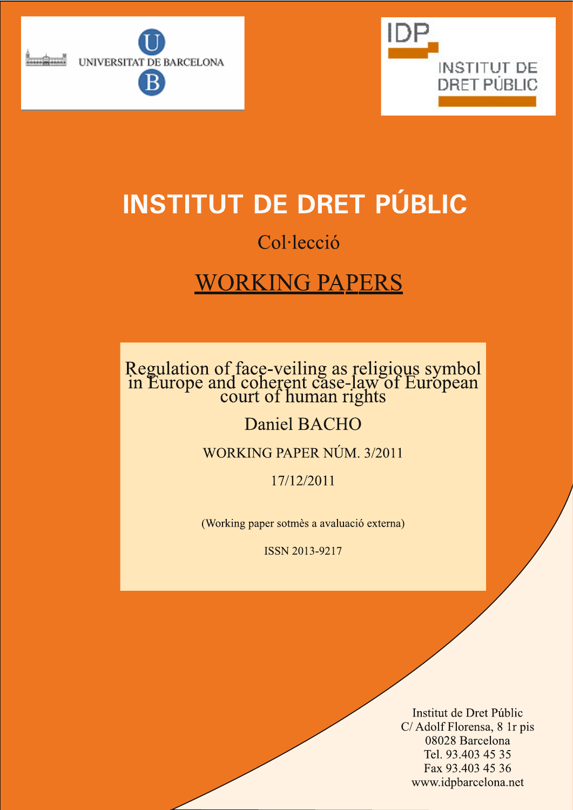



# **INSTITUT DE DRET PÚBLIC**

# Col·lecció

# **WORKING PAPERS**

# Regulation of face-veiling as religious symbol<br>in Europe and coherent case-law of European<br>court of human rights

## **Daniel BACHO**

## WORKING PAPER NÚM. 3/2011

17/12/2011

(Working paper sotmès a avaluació externa)

ISSN 2013-9217

Institut de Dret Públic C/Adolf Florensa, 8 1r pis 08028 Barcelona Tel. 93.403 45 35 Fax 93.403 45 36 www.idpbarcelona.net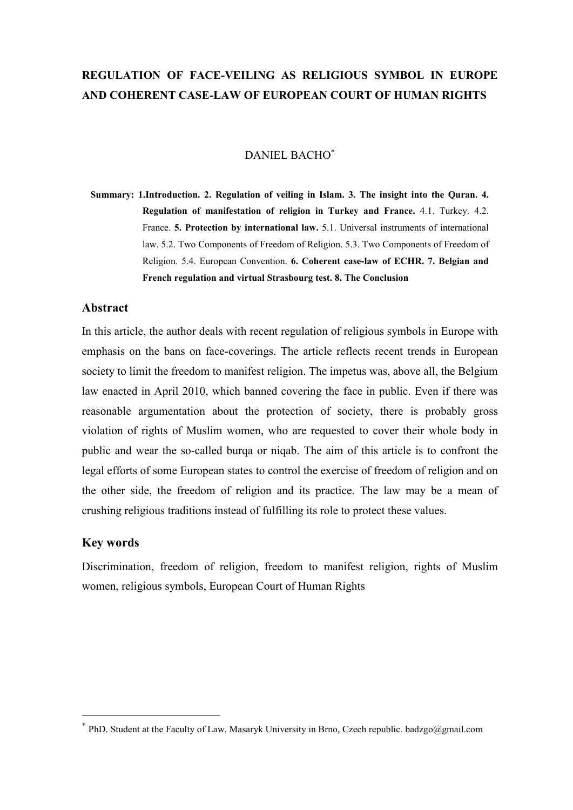## **REGULATION OF FACE-VEILING AS RELIGIOUS SYMBOL IN EUROPE AND COHERENT CASE-LAW OF EUROPEAN COURT OF HUMAN RIGHTS**

#### DANIEL BACHO<sup>∗</sup>

**Summary: 1.Introduction. 2. Regulation of veiling in Islam. 3. The insight into the Quran. 4. Regulation of manifestation of religion in Turkey and France.** 4.1. Turkey. 4.2. France. **5. Protection by international law.** 5.1. Universal instruments of international law. 5.2. Two Components of Freedom of Religion. 5.3. Two Components of Freedom of Religion. 5.4. European Convention. **6. Coherent case-law of ECHR. 7. Belgian and French regulation and virtual Strasbourg test. 8. The Conclusion** 

#### **Abstract**

In this article, the author deals with recent regulation of religious symbols in Europe with emphasis on the bans on face-coverings. The article reflects recent trends in European society to limit the freedom to manifest religion. The impetus was, above all, the Belgium law enacted in April 2010, which banned covering the face in public. Even if there was reasonable argumentation about the protection of society, there is probably gross violation of rights of Muslim women, who are requested to cover their whole body in public and wear the so-called burqa or niqab. The aim of this article is to confront the legal efforts of some European states to control the exercise of freedom of religion and on the other side, the freedom of religion and its practice. The law may be a mean of crushing religious traditions instead of fulfilling its role to protect these values.

#### **Key words**

<u>.</u>

Discrimination, freedom of religion, freedom to manifest religion, rights of Muslim women, religious symbols, European Court of Human Rights

<sup>∗</sup> PhD. Student at the Faculty of Law. Masaryk University in Brno, Czech republic. badzgo@gmail.com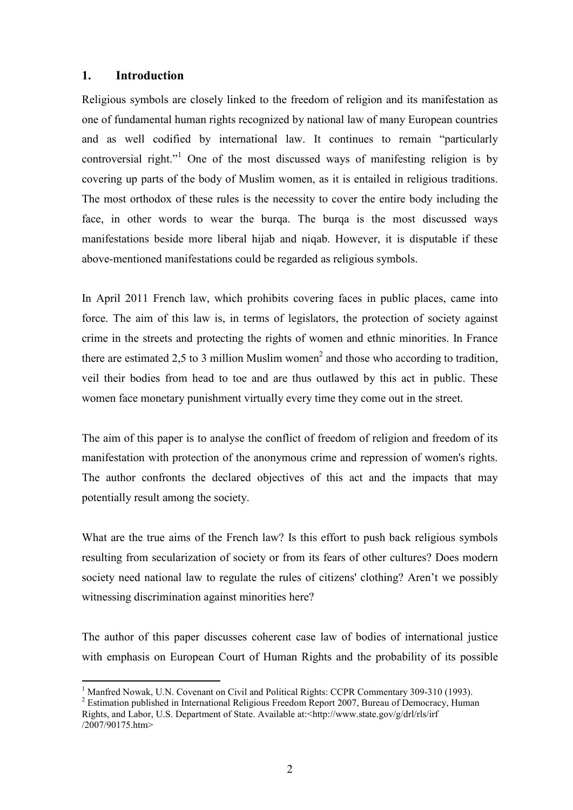#### **1. Introduction**

-

Religious symbols are closely linked to the freedom of religion and its manifestation as one of fundamental human rights recognized by national law of many European countries and as well codified by international law. It continues to remain "particularly controversial right."<sup>1</sup> One of the most discussed ways of manifesting religion is by covering up parts of the body of Muslim women, as it is entailed in religious traditions. The most orthodox of these rules is the necessity to cover the entire body including the face, in other words to wear the burqa. The burqa is the most discussed ways manifestations beside more liberal hijab and niqab. However, it is disputable if these above-mentioned manifestations could be regarded as religious symbols.

In April 2011 French law, which prohibits covering faces in public places, came into force. The aim of this law is, in terms of legislators, the protection of society against crime in the streets and protecting the rights of women and ethnic minorities. In France there are estimated 2,5 to 3 million Muslim women<sup>2</sup> and those who according to tradition, veil their bodies from head to toe and are thus outlawed by this act in public. These women face monetary punishment virtually every time they come out in the street.

The aim of this paper is to analyse the conflict of freedom of religion and freedom of its manifestation with protection of the anonymous crime and repression of women's rights. The author confronts the declared objectives of this act and the impacts that may potentially result among the society.

What are the true aims of the French law? Is this effort to push back religious symbols resulting from secularization of society or from its fears of other cultures? Does modern society need national law to regulate the rules of citizens' clothing? Aren't we possibly witnessing discrimination against minorities here?

The author of this paper discusses coherent case law of bodies of international justice with emphasis on European Court of Human Rights and the probability of its possible

<sup>&</sup>lt;sup>1</sup> Manfred Nowak, U.N. Covenant on Civil and Political Rights: CCPR Commentary 309-310 (1993).

<sup>&</sup>lt;sup>2</sup> Estimation published in International Religious Freedom Report 2007, Bureau of Democracy, Human Rights, and Labor, U.S. Department of State. Available at:<http://www.state.gov/g/drl/rls/irf /2007/90175.htm>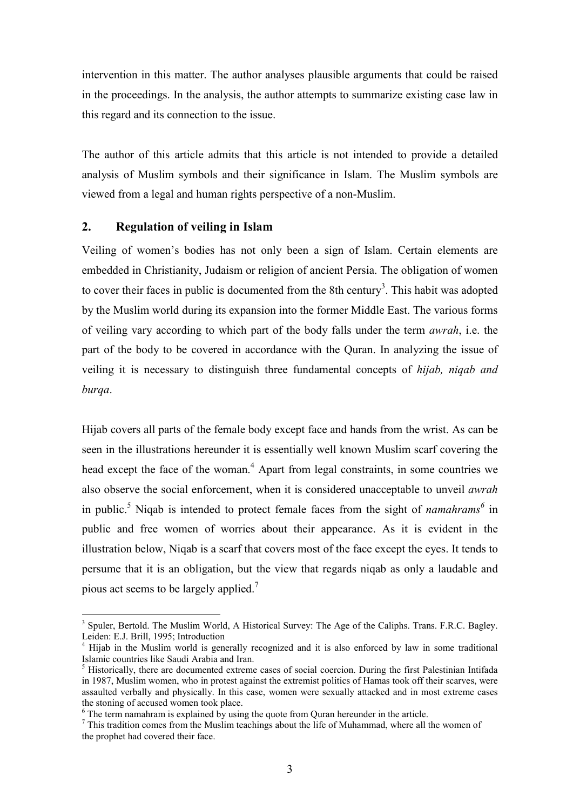intervention in this matter. The author analyses plausible arguments that could be raised in the proceedings. In the analysis, the author attempts to summarize existing case law in this regard and its connection to the issue.

The author of this article admits that this article is not intended to provide a detailed analysis of Muslim symbols and their significance in Islam. The Muslim symbols are viewed from a legal and human rights perspective of a non-Muslim.

#### **2. Regulation of veiling in Islam**

-

Veiling of women's bodies has not only been a sign of Islam. Certain elements are embedded in Christianity, Judaism or religion of ancient Persia. The obligation of women to cover their faces in public is documented from the 8th century<sup>3</sup>. This habit was adopted by the Muslim world during its expansion into the former Middle East. The various forms of veiling vary according to which part of the body falls under the term *awrah*, i.e. the part of the body to be covered in accordance with the Quran. In analyzing the issue of veiling it is necessary to distinguish three fundamental concepts of *hijab, niqab and burqa*.

Hijab covers all parts of the female body except face and hands from the wrist. As can be seen in the illustrations hereunder it is essentially well known Muslim scarf covering the head except the face of the woman.<sup>4</sup> Apart from legal constraints, in some countries we also observe the social enforcement, when it is considered unacceptable to unveil *awrah* in public.<sup>5</sup> Niqab is intended to protect female faces from the sight of *namahrams*<sup>6</sup> in public and free women of worries about their appearance. As it is evident in the illustration below, Niqab is a scarf that covers most of the face except the eyes. It tends to persume that it is an obligation, but the view that regards niqab as only a laudable and pious act seems to be largely applied.<sup>7</sup>

<sup>&</sup>lt;sup>3</sup> Spuler, Bertold. The Muslim World, A Historical Survey: The Age of the Caliphs. Trans. F.R.C. Bagley. Leiden: E.J. Brill, 1995; Introduction

<sup>4</sup> Hijab in the Muslim world is generally recognized and it is also enforced by law in some traditional Islamic countries like Saudi Arabia and Iran.

<sup>&</sup>lt;sup>5</sup> Historically, there are documented extreme cases of social coercion. During the first Palestinian Intifada in 1987, Muslim women, who in protest against the extremist politics of Hamas took off their scarves, were assaulted verbally and physically. In this case, women were sexually attacked and in most extreme cases the stoning of accused women took place.

<sup>&</sup>lt;sup>6</sup> The term namahram is explained by using the quote from Quran hereunder in the article.

 $<sup>7</sup>$  This tradition comes from the Muslim teachings about the life of Muhammad, where all the women of</sup> the prophet had covered their face.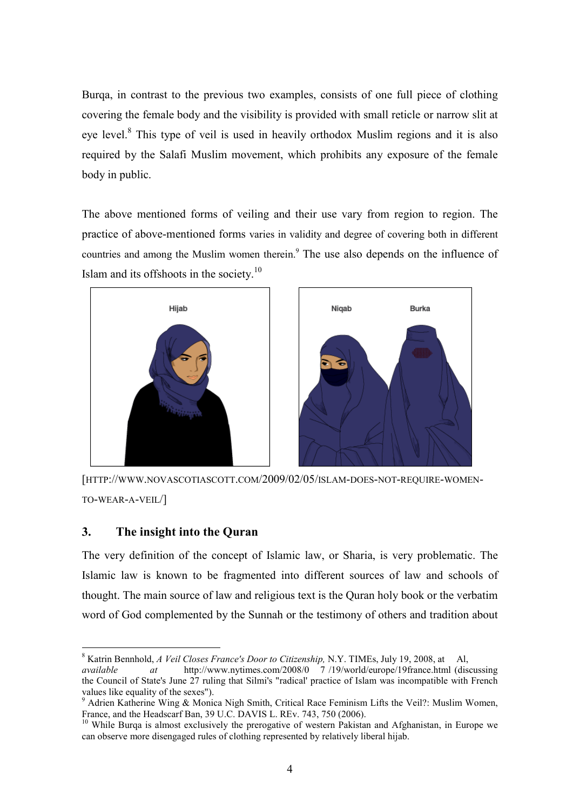Burqa, in contrast to the previous two examples, consists of one full piece of clothing covering the female body and the visibility is provided with small reticle or narrow slit at eye level.<sup>8</sup> This type of veil is used in heavily orthodox Muslim regions and it is also required by the Salafi Muslim movement, which prohibits any exposure of the female body in public.

The above mentioned forms of veiling and their use vary from region to region. The practice of above-mentioned forms varies in validity and degree of covering both in different countries and among the Muslim women therein.<sup>9</sup> The use also depends on the influence of Islam and its offshoots in the society.<sup>10</sup>



[HTTP://WWW.NOVASCOTIASCOTT.COM/2009/02/05/ISLAM-DOES-NOT-REQUIRE-WOMEN-TO-WEAR-A-VEIL/]

#### **3. The insight into the Quran**

-

The very definition of the concept of Islamic law, or Sharia, is very problematic. The Islamic law is known to be fragmented into different sources of law and schools of thought. The main source of law and religious text is the Quran holy book or the verbatim word of God complemented by the Sunnah or the testimony of others and tradition about

<sup>8</sup> Katrin Bennhold, *A Veil Closes France's Door to Citizenship,* N.Y. TIMEs, July 19, 2008, at Al,

*available at* http://www.nytimes.com/2008/0 7 /19/world/europe/19france.html (discussing the Council of State's June 27 ruling that Silmi's "radical' practice of Islam was incompatible with French values like equality of the sexes").

<sup>&</sup>lt;sup>9</sup> Adrien Katherine Wing & Monica Nigh Smith, Critical Race Feminism Lifts the Veil?: Muslim Women, France, and the Headscarf Ban, 39 U.C. DAVIS L. REv. 743, 750 (2006).

 $10$  While Burqa is almost exclusively the prerogative of western Pakistan and Afghanistan, in Europe we can observe more disengaged rules of clothing represented by relatively liberal hijab.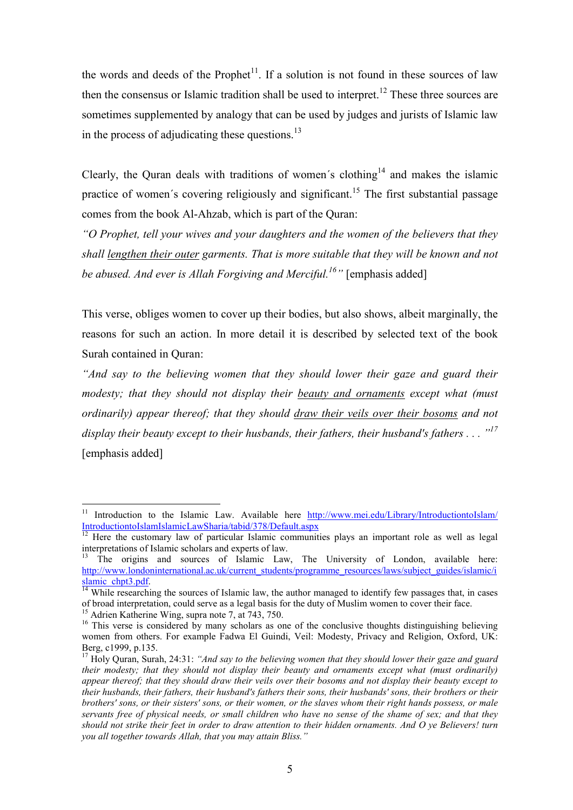the words and deeds of the Prophet<sup>11</sup>. If a solution is not found in these sources of law then the consensus or Islamic tradition shall be used to interpret.<sup>12</sup> These three sources are sometimes supplemented by analogy that can be used by judges and jurists of Islamic law in the process of adjudicating these questions.<sup>13</sup>

Clearly, the Ouran deals with traditions of women's clothing<sup>14</sup> and makes the islamic practice of women's covering religiously and significant.<sup>15</sup> The first substantial passage comes from the book Al-Ahzab, which is part of the Quran:

*"O Prophet, tell your wives and your daughters and the women of the believers that they shall lengthen their outer garments. That is more suitable that they will be known and not be abused. And ever is Allah Forgiving and Merciful. <sup>16</sup>"* [emphasis added]

This verse, obliges women to cover up their bodies, but also shows, albeit marginally, the reasons for such an action. In more detail it is described by selected text of the book Surah contained in Quran:

*"And say to the believing women that they should lower their gaze and guard their modesty; that they should not display their beauty and ornaments except what (must ordinarily) appear thereof; that they should draw their veils over their bosoms and not display their beauty except to their husbands, their fathers, their husband's fathers . . . "<sup>17</sup>* [emphasis added]

<sup>11</sup> Introduction to the Islamic Law. Available here http://www.mei.edu/Library/IntroductiontoIslam/ IntroductiontoIslamIslamicLawSharia/tabid/378/Default.aspx

 $12$  Here the customary law of particular Islamic communities plays an important role as well as legal interpretations of Islamic scholars and experts of law.

<sup>&</sup>lt;sup>13</sup> The origins and sources of Islamic Law, The University of London, available here: http://www.londoninternational.ac.uk/current\_students/programme\_resources/laws/subject\_guides/islamic/i slamic\_chpt3.pdf.

 $\frac{14}{14}$  While researching the sources of Islamic law, the author managed to identify few passages that, in cases of broad interpretation, could serve as a legal basis for the duty of Muslim women to cover their face.

<sup>15</sup> Adrien Katherine Wing, supra note 7, at 743, 750.

<sup>&</sup>lt;sup>16</sup> This verse is considered by many scholars as one of the conclusive thoughts distinguishing believing women from others. For example Fadwa El Guindi, Veil: Modesty, Privacy and Religion, Oxford, UK: Berg, c1999, p.135.

<sup>17</sup> Holy Quran, Surah, 24:31: *"And say to the believing women that they should lower their gaze and guard their modesty; that they should not display their beauty and ornaments except what (must ordinarily) appear thereof; that they should draw their veils over their bosoms and not display their beauty except to their husbands, their fathers, their husband's fathers their sons, their husbands' sons, their brothers or their brothers' sons, or their sisters' sons, or their women, or the slaves whom their right hands possess, or male servants free of physical needs, or small children who have no sense of the shame of sex; and that they should not strike their feet in order to draw attention to their hidden ornaments. And O ye Believers! turn you all together towards Allah, that you may attain Bliss."*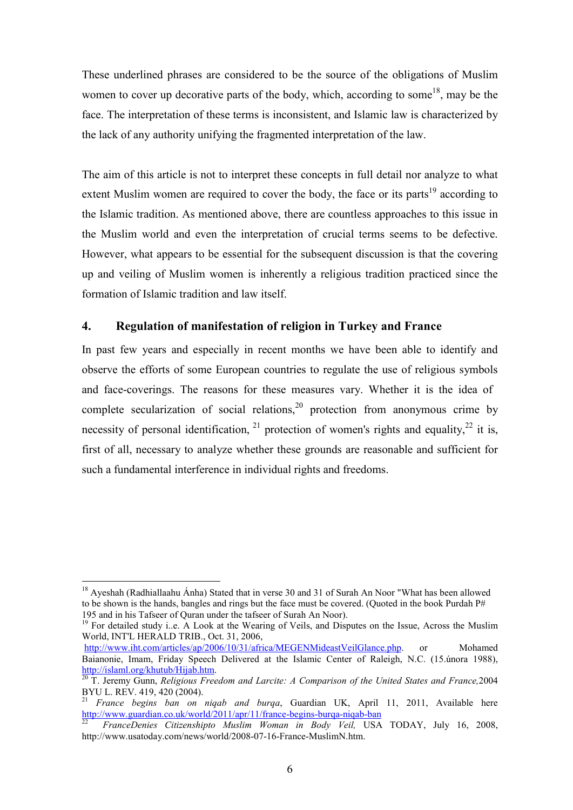These underlined phrases are considered to be the source of the obligations of Muslim women to cover up decorative parts of the body, which, according to some<sup>18</sup>, may be the face. The interpretation of these terms is inconsistent, and Islamic law is characterized by the lack of any authority unifying the fragmented interpretation of the law.

The aim of this article is not to interpret these concepts in full detail nor analyze to what extent Muslim women are required to cover the body, the face or its parts<sup>19</sup> according to the Islamic tradition. As mentioned above, there are countless approaches to this issue in the Muslim world and even the interpretation of crucial terms seems to be defective. However, what appears to be essential for the subsequent discussion is that the covering up and veiling of Muslim women is inherently a religious tradition practiced since the formation of Islamic tradition and law itself.

#### **4. Regulation of manifestation of religion in Turkey and France**

In past few years and especially in recent months we have been able to identify and observe the efforts of some European countries to regulate the use of religious symbols and face-coverings. The reasons for these measures vary. Whether it is the idea of complete secularization of social relations,<sup>20</sup> protection from anonymous crime by necessity of personal identification,  $21$  protection of women's rights and equality,  $22$  it is, first of all, necessary to analyze whether these grounds are reasonable and sufficient for such a fundamental interference in individual rights and freedoms.

-

<sup>19</sup> For detailed study i..e. A Look at the Wearing of Veils, and Disputes on the Issue, Across the Muslim World, INT'L HERALD TRIB., Oct. 31, 2006,

<sup>&</sup>lt;sup>18</sup> Ayeshah (Radhiallaahu Ánha) Stated that in verse 30 and 31 of Surah An Noor "What has been allowed to be shown is the hands, bangles and rings but the face must be covered. (Quoted in the book Purdah P# 195 and in his Tafseer of Quran under the tafseer of Surah An Noor).

http://www.iht.com/articles/ap/2006/10/31/africa/MEGENMideastVeilGlance.php. or Mohamed Baianonie, Imam, Friday Speech Delivered at the Islamic Center of Raleigh, N.C. (15.února 1988), http://islaml.org/khutub/Hijab.htm.

<sup>20</sup> T. Jeremy Gunn, *Religious Freedom and Larcite: A Comparison of the United States and France,*2004 BYU L. REV. 419, 420 (2004).

<sup>21</sup> *France begins ban on niqab and burqa*, Guardian UK, April 11, 2011, Available here http://www.guardian.co.uk/world/2011/apr/11/france-begins-burqa-niqab-ban

<sup>22</sup> *FranceDenies Citizenshipto Muslim Woman in Body Veil,* USA TODAY, July 16, 2008, http://www.usatoday.com/news/world/2008-07-16-France-MuslimN.htm.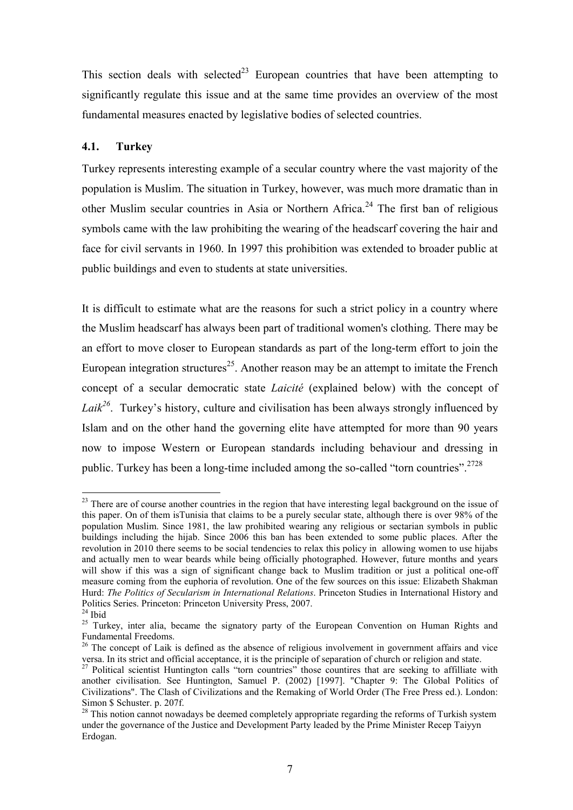This section deals with selected<sup>23</sup> European countries that have been attempting to significantly regulate this issue and at the same time provides an overview of the most fundamental measures enacted by legislative bodies of selected countries.

#### **4.1. Turkey**

Turkey represents interesting example of a secular country where the vast majority of the population is Muslim. The situation in Turkey, however, was much more dramatic than in other Muslim secular countries in Asia or Northern Africa.<sup>24</sup> The first ban of religious symbols came with the law prohibiting the wearing of the headscarf covering the hair and face for civil servants in 1960. In 1997 this prohibition was extended to broader public at public buildings and even to students at state universities.

It is difficult to estimate what are the reasons for such a strict policy in a country where the Muslim headscarf has always been part of traditional women's clothing. There may be an effort to move closer to European standards as part of the long-term effort to join the European integration structures<sup>25</sup>. Another reason may be an attempt to imitate the French concept of a secular democratic state *Laicité* (explained below) with the concept of Laik<sup>26</sup>. Turkey's history, culture and civilisation has been always strongly influenced by Islam and on the other hand the governing elite have attempted for more than 90 years now to impose Western or European standards including behaviour and dressing in public. Turkey has been a long-time included among the so-called "torn countries".<sup>2728</sup>

<sup>&</sup>lt;sup>23</sup> There are of course another countries in the region that have interesting legal background on the issue of this paper. On of them isTunisia that claims to be a purely secular state, although there is over 98% of the population Muslim. Since 1981, the law prohibited wearing any religious or sectarian symbols in public buildings including the hijab. Since 2006 this ban has been extended to some public places. After the revolution in 2010 there seems to be social tendencies to relax this policy in allowing women to use hijabs and actually men to wear beards while being officially photographed. However, future months and years will show if this was a sign of significant change back to Muslim tradition or just a political one-off measure coming from the euphoria of revolution. One of the few sources on this issue: Elizabeth Shakman Hurd: *The Politics of Secularism in International Relations*. Princeton Studies in International History and Politics Series. Princeton: Princeton University Press, 2007.

 $24$  Ibid

<sup>&</sup>lt;sup>25</sup> Turkey, inter alia, became the signatory party of the European Convention on Human Rights and Fundamental Freedoms.

<sup>&</sup>lt;sup>26</sup> The concept of Laik is defined as the absence of religious involvement in government affairs and vice versa. In its strict and official acceptance, it is the principle of separation of church or religion and state.

<sup>&</sup>lt;sup>27</sup> Political scientist Huntington calls "torn countries" those countires that are seeking to affilliate with another civilisation. See Huntington, Samuel P. (2002) [1997]. "Chapter 9: The Global Politics of Civilizations". The Clash of Civilizations and the Remaking of World Order (The Free Press ed.). London: Simon \$ Schuster. p. 207f.

<sup>&</sup>lt;sup>28</sup> This notion cannot nowadays be deemed completely appropriate regarding the reforms of Turkish system under the governance of the Justice and Development Party leaded by the Prime Minister Recep Taiyyn Erdogan.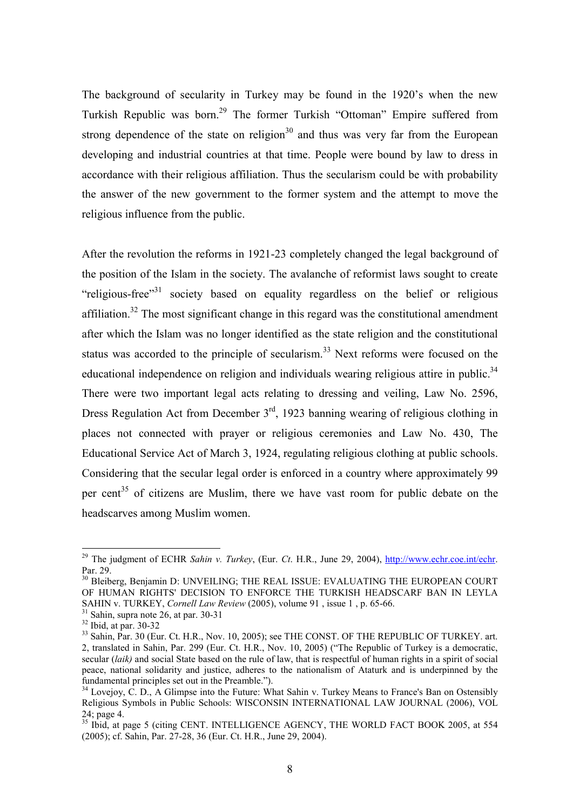The background of secularity in Turkey may be found in the 1920's when the new Turkish Republic was born.<sup>29</sup> The former Turkish "Ottoman" Empire suffered from strong dependence of the state on religion<sup>30</sup> and thus was very far from the European developing and industrial countries at that time. People were bound by law to dress in accordance with their religious affiliation. Thus the secularism could be with probability the answer of the new government to the former system and the attempt to move the religious influence from the public.

After the revolution the reforms in 1921-23 completely changed the legal background of the position of the Islam in the society. The avalanche of reformist laws sought to create "religious-free"<sup>31</sup> society based on equality regardless on the belief or religious affiliation.<sup>32</sup> The most significant change in this regard was the constitutional amendment after which the Islam was no longer identified as the state religion and the constitutional status was accorded to the principle of secularism.<sup>33</sup> Next reforms were focused on the educational independence on religion and individuals wearing religious attire in public.<sup>34</sup> There were two important legal acts relating to dressing and veiling, Law No. 2596, Dress Regulation Act from December  $3<sup>rd</sup>$ , 1923 banning wearing of religious clothing in places not connected with prayer or religious ceremonies and Law No. 430, The Educational Service Act of March 3, 1924, regulating religious clothing at public schools. Considering that the secular legal order is enforced in a country where approximately 99 per cent<sup>35</sup> of citizens are Muslim, there we have vast room for public debate on the headscarves among Muslim women.

<sup>&</sup>lt;sup>29</sup> The judgment of ECHR *Sahin v. Turkey*, (Eur. *Ct. H.R., June 29, 2004*), http://www.echr.coe.int/echr. Par. 29.

<sup>&</sup>lt;sup>30</sup> Bleiberg, Benjamin D: UNVEILING; THE REAL ISSUE: EVALUATING THE EUROPEAN COURT OF HUMAN RIGHTS' DECISION TO ENFORCE THE TURKISH HEADSCARF BAN IN LEYLA SAHIN v. TURKEY, *Cornell Law Review* (2005), volume 91 , issue 1 , p. 65-66.

 $31$  Sahin, supra note 26, at par. 30-31

 $32$  Ibid, at par. 30-32

<sup>&</sup>lt;sup>33</sup> Sahin, Par. 30 (Eur. Ct. H.R., Nov. 10, 2005); see THE CONST. OF THE REPUBLIC OF TURKEY. art. 2, translated in Sahin, Par. 299 (Eur. Ct. H.R., Nov. 10, 2005) ("The Republic of Turkey is a democratic, secular (*laik)* and social State based on the rule of law, that is respectful of human rights in a spirit of social peace, national solidarity and justice, adheres to the nationalism of Ataturk and is underpinned by the fundamental principles set out in the Preamble.").

<sup>&</sup>lt;sup>34</sup> Lovejoy, C. D., A Glimpse into the Future: What Sahin y. Turkey Means to France's Ban on Ostensibly Religious Symbols in Public Schools: WISCONSIN INTERNATIONAL LAW JOURNAL (2006), VOL 24; page 4.

<sup>&</sup>lt;sup>35</sup> Ibid, at page 5 (citing CENT. INTELLIGENCE AGENCY, THE WORLD FACT BOOK 2005, at 554 (2005); cf. Sahin, Par. 27-28, 36 (Eur. Ct. H.R., June 29, 2004).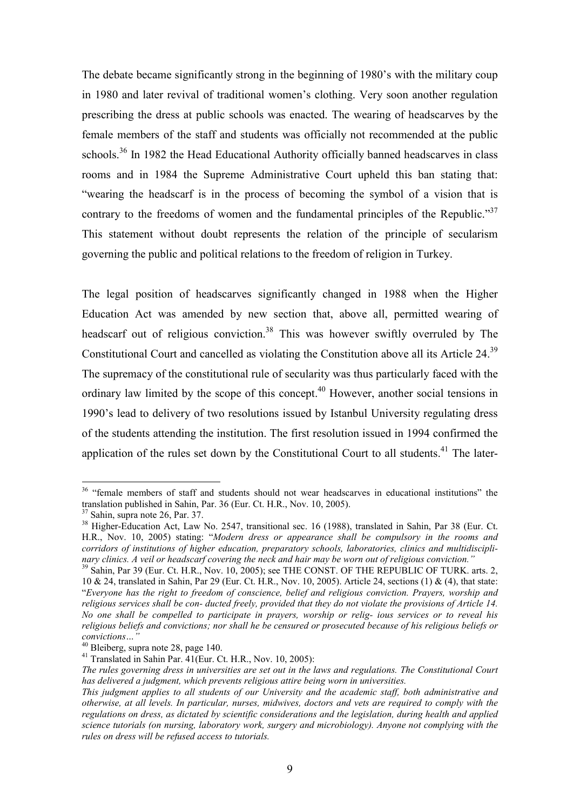The debate became significantly strong in the beginning of 1980's with the military coup in 1980 and later revival of traditional women's clothing. Very soon another regulation prescribing the dress at public schools was enacted. The wearing of headscarves by the female members of the staff and students was officially not recommended at the public schools.<sup>36</sup> In 1982 the Head Educational Authority officially banned headscarves in class rooms and in 1984 the Supreme Administrative Court upheld this ban stating that: "wearing the headscarf is in the process of becoming the symbol of a vision that is contrary to the freedoms of women and the fundamental principles of the Republic."<sup>37</sup> This statement without doubt represents the relation of the principle of secularism governing the public and political relations to the freedom of religion in Turkey.

The legal position of headscarves significantly changed in 1988 when the Higher Education Act was amended by new section that, above all, permitted wearing of headscarf out of religious conviction.<sup>38</sup> This was however swiftly overruled by The Constitutional Court and cancelled as violating the Constitution above all its Article 24.<sup>39</sup> The supremacy of the constitutional rule of secularity was thus particularly faced with the ordinary law limited by the scope of this concept.<sup>40</sup> However, another social tensions in 1990's lead to delivery of two resolutions issued by Istanbul University regulating dress of the students attending the institution. The first resolution issued in 1994 confirmed the application of the rules set down by the Constitutional Court to all students.<sup>41</sup> The later-

<sup>&</sup>lt;sup>36</sup> "female members of staff and students should not wear headscarves in educational institutions" the translation published in Sahin, Par. 36 (Eur. Ct. H.R., Nov. 10, 2005).

<sup>37</sup> Sahin, supra note 26, Par. 37.

<sup>&</sup>lt;sup>38</sup> Higher-Education Act, Law No. 2547, transitional sec. 16 (1988), translated in Sahin, Par 38 (Eur. Ct. H.R., Nov. 10, 2005) stating: "*Modern dress or appearance shall be compulsory in the rooms and corridors of institutions of higher education, preparatory schools, laboratories, clinics and multidisciplinary clinics. A veil or headscarf covering the neck and hair may be worn out of religious conviction."*

<sup>&</sup>lt;sup>39</sup> Sahin, Par 39 (Eur. Ct. H.R., Nov. 10, 2005); see THE CONST. OF THE REPUBLIC OF TURK. arts. 2, 10 & 24, translated in Sahin, Par 29 (Eur. Ct. H.R., Nov. 10, 2005). Article 24, sections (1) & (4), that state: "*Everyone has the right to freedom of conscience, belief and religious conviction. Prayers, worship and religious services shall be con- ducted freely, provided that they do not violate the provisions of Article 14. No one shall be compelled to participate in prayers, worship or relig- ious services or to reveal his religious beliefs and convictions; nor shall he be censured or prosecuted because of his religious beliefs or convictions…"*

<sup>40</sup> Bleiberg, supra note 28, page 140.

<sup>&</sup>lt;sup>41</sup> Translated in Sahin Par.  $41$ (Eur. Ct. H.R., Nov. 10, 2005):

*The rules governing dress in universities are set out in the laws and regulations. The Constitutional Court has delivered a judgment, which prevents religious attire being worn in universities.* 

*This judgment applies to all students of our University and the academic staff, both administrative and otherwise, at all levels. In particular, nurses, midwives, doctors and vets are required to comply with the regulations on dress, as dictated by scientific considerations and the legislation, during health and applied science tutorials (on nursing, laboratory work, surgery and microbiology). Anyone not complying with the rules on dress will be refused access to tutorials.*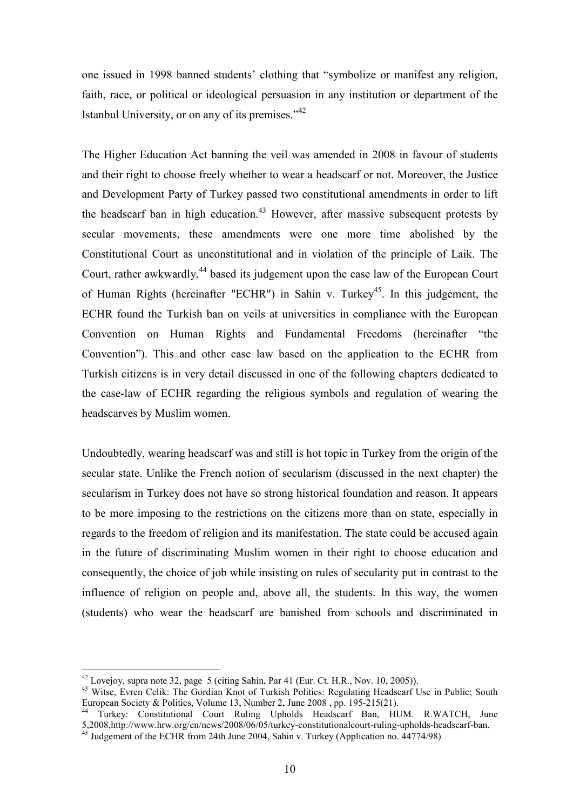one issued in 1998 banned students' clothing that "symbolize or manifest any religion, faith, race, or political or ideological persuasion in any institution or department of the Istanbul University, or on any of its premises."<sup>42</sup>

The Higher Education Act banning the veil was amended in 2008 in favour of students and their right to choose freely whether to wear a headscarf or not. Moreover, the Justice and Development Party of Turkey passed two constitutional amendments in order to lift the headscarf ban in high education.<sup>43</sup> However, after massive subsequent protests by secular movements, these amendments were one more time abolished by the Constitutional Court as unconstitutional and in violation of the principle of Laik. The Court, rather awkwardly,<sup>44</sup> based its judgement upon the case law of the European Court of Human Rights (hereinafter "ECHR") in Sahin v. Turkey<sup>45</sup>. In this judgement, the ECHR found the Turkish ban on veils at universities in compliance with the European Convention on Human Rights and Fundamental Freedoms (hereinafter "the Convention"). This and other case law based on the application to the ECHR from Turkish citizens is in very detail discussed in one of the following chapters dedicated to the case-law of ECHR regarding the religious symbols and regulation of wearing the headscarves by Muslim women.

Undoubtedly, wearing headscarf was and still is hot topic in Turkey from the origin of the secular state. Unlike the French notion of secularism (discussed in the next chapter) the secularism in Turkey does not have so strong historical foundation and reason. It appears to be more imposing to the restrictions on the citizens more than on state, especially in regards to the freedom of religion and its manifestation. The state could be accused again in the future of discriminating Muslim women in their right to choose education and consequently, the choice of job while insisting on rules of secularity put in contrast to the influence of religion on people and, above all, the students. In this way, the women (students) who wear the headscarf are banished from schools and discriminated in

 $42$  Lovejoy, supra note 32, page 5 (citing Sahin, Par 41 (Eur. Ct. H.R., Nov. 10, 2005)).

<sup>&</sup>lt;sup>43</sup> Witse, Evren Celik: The Gordian Knot of Turkish Politics: Regulating Headscarf Use in Public; South European Society & Politics, Volume 13, Number 2, June 2008 , pp. 195-215(21).

Turkey: Constitutional Court Ruling Upholds Headscarf Ban, HUM. R.WATCH, June 5,2008,http://www.hrw.org/en/news/2008/06/05/turkey-constitutionalcourt-ruling-upholds-headscarf-ban. <sup>45</sup> Judgement of the ECHR from 24th June 2004, Sahin v. Turkey (Application no. 44774/98)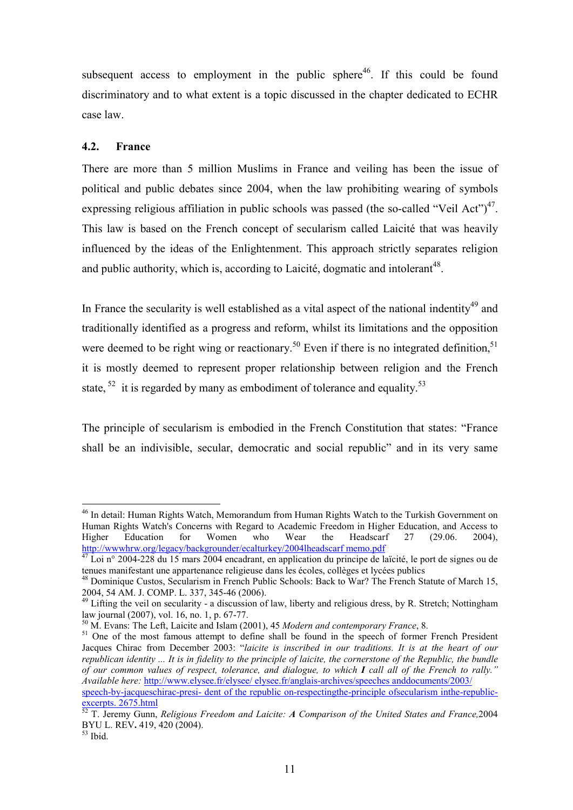subsequent access to employment in the public sphere<sup>46</sup>. If this could be found discriminatory and to what extent is a topic discussed in the chapter dedicated to ECHR case law.

#### **4.2. France**

There are more than 5 million Muslims in France and veiling has been the issue of political and public debates since 2004, when the law prohibiting wearing of symbols expressing religious affiliation in public schools was passed (the so-called "Veil Act") $47$ . This law is based on the French concept of secularism called Laicité that was heavily influenced by the ideas of the Enlightenment. This approach strictly separates religion and public authority, which is, according to Laicité, dogmatic and intolerant $48$ .

In France the secularity is well established as a vital aspect of the national indentity<sup>49</sup> and traditionally identified as a progress and reform, whilst its limitations and the opposition were deemed to be right wing or reactionary.<sup>50</sup> Even if there is no integrated definition,<sup>51</sup> it is mostly deemed to represent proper relationship between religion and the French state,  $52$  it is regarded by many as embodiment of tolerance and equality.<sup>53</sup>

The principle of secularism is embodied in the French Constitution that states: "France shall be an indivisible, secular, democratic and social republic" and in its very same

<sup>&</sup>lt;sup>46</sup> In detail: Human Rights Watch, Memorandum from Human Rights Watch to the Turkish Government on Human Rights Watch's Concerns with Regard to Academic Freedom in Higher Education, and Access to Higher Education for Women who Wear the Headscarf 27 (29.06. 2004), http://wwwhrw.org/legacy/backgrounder/ecalturkey/2004lheadscarf memo.pdf

Loi n° 2004-228 du 15 mars 2004 encadrant, en application du principe de laïcité, le port de signes ou de tenues manifestant une appartenance religieuse dans les écoles, collèges et lycées publics

<sup>&</sup>lt;sup>48</sup> Dominique Custos, Secularism in French Public Schools: Back to War? The French Statute of March 15, 2004, 54 AM. J. COMP. L. 337, 345-46 (2006).

<sup>&</sup>lt;sup>49</sup> Lifting the veil on secularity - a discussion of law, liberty and religious dress, by R. Stretch; Nottingham law journal (2007), vol. 16, no. 1, p. 67-77.

<sup>50</sup> M. Evans: The Left, Laicite and Islam (2001), 45 *Modern and contemporary France*, 8.

<sup>&</sup>lt;sup>51</sup> One of the most famous attempt to define shall be found in the speech of former French President Jacques Chirac from December 2003: "*laicite is inscribed in our traditions. It is at the heart of our republican identity ... It is in fidelity to the principle of laicite, the cornerstone of the Republic, the bundle of our common values of respect, tolerance, and dialogue, to which I call all of the French to rally." Available here:* http://www.elysee.fr/elysee/ elysee.fr/anglais-archives/speeches anddocuments/2003/

speech-by-jacqueschirac-presi- dent of the republic on-respectingthe-principle ofsecularism inthe-republic- $\frac{y - \text{ar} y - \text{racquescl}}{\text{excerpts. } 2675 \text{.html}}$ 

<sup>52</sup> T. Jeremy Gunn, *Religious Freedom and Laicite: A Comparison of the United States and France,*2004 BYU L. REV**.** 419, 420 (2004).

 $53$  Ibid.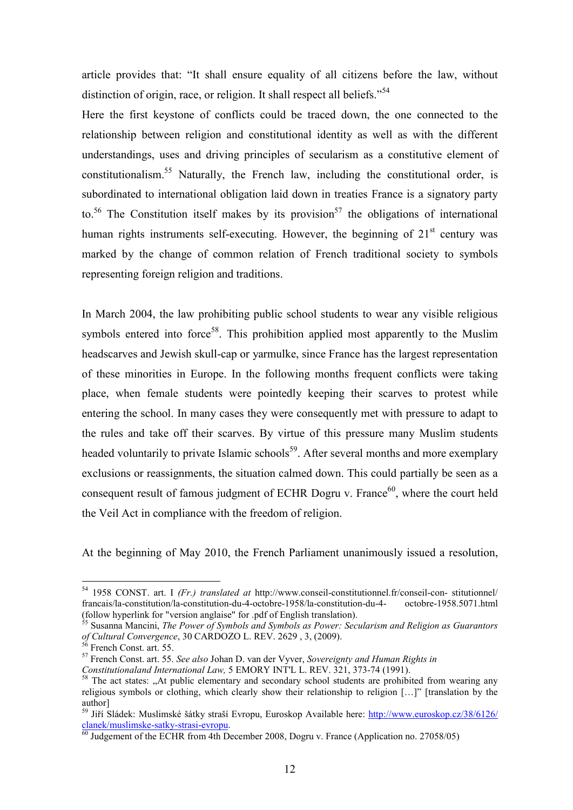article provides that: "It shall ensure equality of all citizens before the law, without distinction of origin, race, or religion. It shall respect all beliefs."<sup>54</sup>

Here the first keystone of conflicts could be traced down, the one connected to the relationship between religion and constitutional identity as well as with the different understandings, uses and driving principles of secularism as a constitutive element of constitutionalism.<sup>55</sup> Naturally, the French law, including the constitutional order, is subordinated to international obligation laid down in treaties France is a signatory party to.<sup>56</sup> The Constitution itself makes by its provision<sup>57</sup> the obligations of international human rights instruments self-executing. However, the beginning of  $21<sup>st</sup>$  century was marked by the change of common relation of French traditional society to symbols representing foreign religion and traditions.

In March 2004, the law prohibiting public school students to wear any visible religious symbols entered into force<sup>58</sup>. This prohibition applied most apparently to the Muslim headscarves and Jewish skull-cap or yarmulke, since France has the largest representation of these minorities in Europe. In the following months frequent conflicts were taking place, when female students were pointedly keeping their scarves to protest while entering the school. In many cases they were consequently met with pressure to adapt to the rules and take off their scarves. By virtue of this pressure many Muslim students headed voluntarily to private Islamic schools<sup>59</sup>. After several months and more exemplary exclusions or reassignments, the situation calmed down. This could partially be seen as a consequent result of famous judgment of ECHR Dogru v. France<sup>60</sup>, where the court held the Veil Act in compliance with the freedom of religion.

At the beginning of May 2010, the French Parliament unanimously issued a resolution,

<sup>54</sup> 1958 CONST. art. I *(Fr.) translated at* http://www.conseil-constitutionnel.fr/conseil-con- stitutionnel/ francais/la-constitution/la-constitution-du-4-octobre-1958/la-constitution-du-4- octobre-1958.5071.html (follow hyperlink for "version anglaise" for .pdf of English translation).

<sup>55</sup> Susanna Mancini, *The Power of Symbols and Symbols as Power: Secularism and Religion as Guarantors of Cultural Convergence*, 30 CARDOZO L. REV. 2629 , 3, (2009).

French Const. art. 55.

<sup>57</sup> French Const. art. 55. *See also* Johan D. van der Vyver, *Sovereignty and Human Rights in* 

*Constitutionaland International Law,* 5 EMORY INT'L L. REV. 321, 373-74 (1991).

<sup>&</sup>lt;sup>58</sup> The act states: "At public elementary and secondary school students are prohibited from wearing any religious symbols or clothing, which clearly show their relationship to religion […]" [translation by the author]

<sup>&</sup>lt;sup>59</sup> Jiří Sládek: Muslimské šátky straší Evropu, Euroskop Available here: http://www.euroskop.cz/38/6126/ clanek/muslimske-satky-strasi-evropu.

 $\frac{60}{60}$  Judgement of the ECHR from 4th December 2008, Dogru v. France (Application no. 27058/05)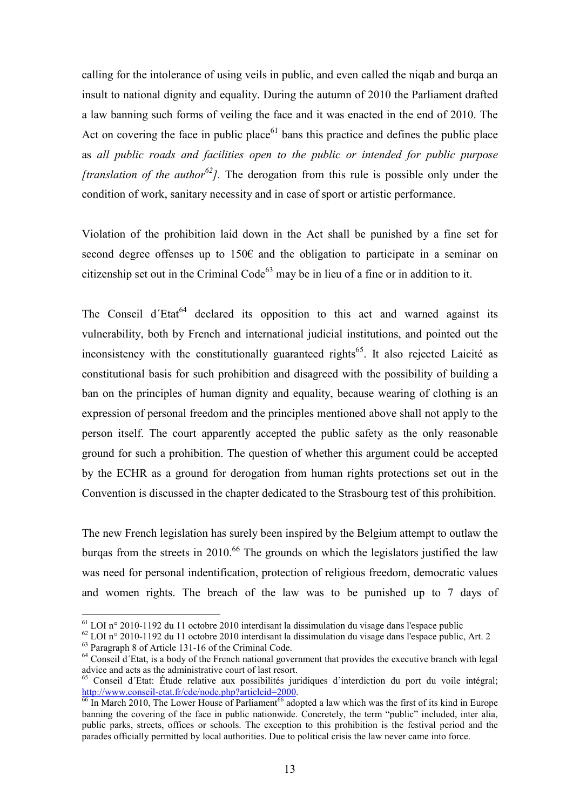calling for the intolerance of using veils in public, and even called the niqab and burqa an insult to national dignity and equality. During the autumn of 2010 the Parliament drafted a law banning such forms of veiling the face and it was enacted in the end of 2010. The Act on covering the face in public place<sup> $61$ </sup> bans this practice and defines the public place as *all public roads and facilities open to the public or intended for public purpose [translation of the author<sup>62</sup>].* The derogation from this rule is possible only under the condition of work, sanitary necessity and in case of sport or artistic performance.

Violation of the prohibition laid down in the Act shall be punished by a fine set for second degree offenses up to 150€ and the obligation to participate in a seminar on citizenship set out in the Criminal  $Code^{63}$  may be in lieu of a fine or in addition to it.

The Conseil d'Etat<sup>64</sup> declared its opposition to this act and warned against its vulnerability, both by French and international judicial institutions, and pointed out the inconsistency with the constitutionally guaranteed rights<sup> $65$ </sup>. It also rejected Laicité as constitutional basis for such prohibition and disagreed with the possibility of building a ban on the principles of human dignity and equality, because wearing of clothing is an expression of personal freedom and the principles mentioned above shall not apply to the person itself. The court apparently accepted the public safety as the only reasonable ground for such a prohibition. The question of whether this argument could be accepted by the ECHR as a ground for derogation from human rights protections set out in the Convention is discussed in the chapter dedicated to the Strasbourg test of this prohibition.

The new French legislation has surely been inspired by the Belgium attempt to outlaw the burgas from the streets in 2010.<sup>66</sup> The grounds on which the legislators justified the law was need for personal indentification, protection of religious freedom, democratic values and women rights. The breach of the law was to be punished up to 7 days of

 $61$  LOI n° 2010-1192 du 11 octobre 2010 interdisant la dissimulation du visage dans l'espace public

<sup>62</sup> LOI n° 2010-1192 du 11 octobre 2010 interdisant la dissimulation du visage dans l'espace public, Art. 2 <sup>63</sup> Paragraph 8 of Article 131-16 of the Criminal Code.

 $64$  Conseil d'Etat, is a body of the French national government that provides the executive branch with legal advice and acts as the administrative court of last resort.

<sup>65</sup> Conseil d´Etat: Étude relative aux possibilités juridiques d'interdiction du port du voile intégral; http://www.conseil-etat.fr/cde/node.php?articleid=2000.

 $\frac{66}{66}$  In March 2010, The Lower House of Parliament<sup>66</sup> adopted a law which was the first of its kind in Europe banning the covering of the face in public nationwide. Concretely, the term "public" included, inter alia, public parks, streets, offices or schools. The exception to this prohibition is the festival period and the parades officially permitted by local authorities. Due to political crisis the law never came into force.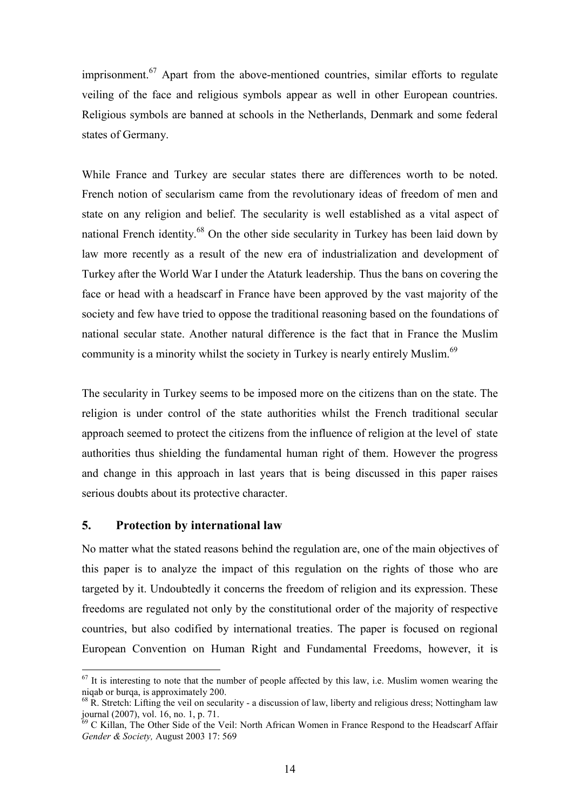imprisonment.<sup>67</sup> Apart from the above-mentioned countries, similar efforts to regulate veiling of the face and religious symbols appear as well in other European countries. Religious symbols are banned at schools in the Netherlands, Denmark and some federal states of Germany.

While France and Turkey are secular states there are differences worth to be noted. French notion of secularism came from the revolutionary ideas of freedom of men and state on any religion and belief. The secularity is well established as a vital aspect of national French identity.<sup>68</sup> On the other side secularity in Turkey has been laid down by law more recently as a result of the new era of industrialization and development of Turkey after the World War I under the Ataturk leadership. Thus the bans on covering the face or head with a headscarf in France have been approved by the vast majority of the society and few have tried to oppose the traditional reasoning based on the foundations of national secular state. Another natural difference is the fact that in France the Muslim community is a minority whilst the society in Turkey is nearly entirely Muslim.<sup>69</sup>

The secularity in Turkey seems to be imposed more on the citizens than on the state. The religion is under control of the state authorities whilst the French traditional secular approach seemed to protect the citizens from the influence of religion at the level of state authorities thus shielding the fundamental human right of them. However the progress and change in this approach in last years that is being discussed in this paper raises serious doubts about its protective character.

#### **5. Protection by international law**

-

No matter what the stated reasons behind the regulation are, one of the main objectives of this paper is to analyze the impact of this regulation on the rights of those who are targeted by it. Undoubtedly it concerns the freedom of religion and its expression. These freedoms are regulated not only by the constitutional order of the majority of respective countries, but also codified by international treaties. The paper is focused on regional European Convention on Human Right and Fundamental Freedoms, however, it is

 $67$  It is interesting to note that the number of people affected by this law, i.e. Muslim women wearing the niqab or burqa, is approximately 200.

 $^{68}$  R. Stretch: Lifting the veil on secularity - a discussion of law, liberty and religious dress; Nottingham law journal (2007), vol. 16, no. 1, p. 71.

 $69$  C Killan, The Other Side of the Veil: North African Women in France Respond to the Headscarf Affair *Gender & Society,* August 2003 17: 569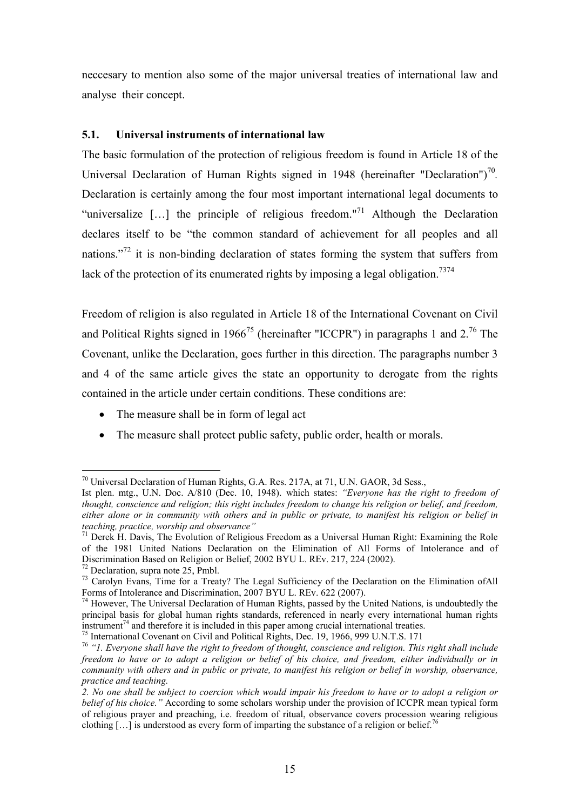neccesary to mention also some of the major universal treaties of international law and analyse their concept.

#### **5.1. Universal instruments of international law**

The basic formulation of the protection of religious freedom is found in Article 18 of the Universal Declaration of Human Rights signed in 1948 (hereinafter "Declaration")<sup>70</sup>. Declaration is certainly among the four most important international legal documents to "universalize  $[...]$  the principle of religious freedom."<sup>71</sup> Although the Declaration declares itself to be "the common standard of achievement for all peoples and all nations."<sup>72</sup> it is non-binding declaration of states forming the system that suffers from lack of the protection of its enumerated rights by imposing a legal obligation.<sup>7374</sup>

Freedom of religion is also regulated in Article 18 of the International Covenant on Civil and Political Rights signed in 1966<sup>75</sup> (hereinafter "ICCPR") in paragraphs 1 and 2.<sup>76</sup> The Covenant, unlike the Declaration, goes further in this direction. The paragraphs number 3 and 4 of the same article gives the state an opportunity to derogate from the rights contained in the article under certain conditions. These conditions are:

- The measure shall be in form of legal act
- The measure shall protect public safety, public order, health or morals.

<sup>-</sup> $70$  Universal Declaration of Human Rights, G.A. Res. 217A, at 71, U.N. GAOR, 3d Sess.,

Ist plen. mtg., U.N. Doc. A/810 (Dec. 10, 1948). which states: *"Everyone has the right to freedom of thought, conscience and religion; this right includes freedom to change his religion or belief, and freedom, either alone or in community with others and in public or private, to manifest his religion or belief in teaching, practice, worship and observance"*

 $71$  Derek H. Davis, The Evolution of Religious Freedom as a Universal Human Right: Examining the Role of the 1981 United Nations Declaration on the Elimination of All Forms of Intolerance and of Discrimination Based on Religion or Belief, 2002 BYU L. REv. 217, 224 (2002).

 $72$  Declaration, supra note 25, Pmbl.

<sup>&</sup>lt;sup>73</sup> Carolyn Evans. Time for a Treaty? The Legal Sufficiency of the Declaration on the Elimination ofAll Forms of Intolerance and Discrimination, 2007 BYU L. REv. 622 (2007).

 $74$  However, The Universal Declaration of Human Rights, passed by the United Nations, is undoubtedly the principal basis for global human rights standards, referenced in nearly every international human rights instrument<sup>74</sup> and therefore it is included in this paper among crucial international treaties.

<sup>&</sup>lt;sup>75</sup> International Covenant on Civil and Political Rights, Dec. 19, 1966, 999 U.N.T.S. 171

<sup>76</sup> *"1. Everyone shall have the right to freedom of thought, conscience and religion. This right shall include freedom to have or to adopt a religion or belief of his choice, and freedom, either individually or in community with others and in public or private, to manifest his religion or belief in worship, observance, practice and teaching.* 

*<sup>2.</sup> No one shall be subject to coercion which would impair his freedom to have or to adopt a religion or belief of his choice."* According to some scholars worship under the provision of ICCPR mean typical form of religious prayer and preaching, i.e. freedom of ritual, observance covers procession wearing religious clothing  $\left[\ldots\right]$  is understood as every form of imparting the substance of a religion or belief.<sup>76</sup>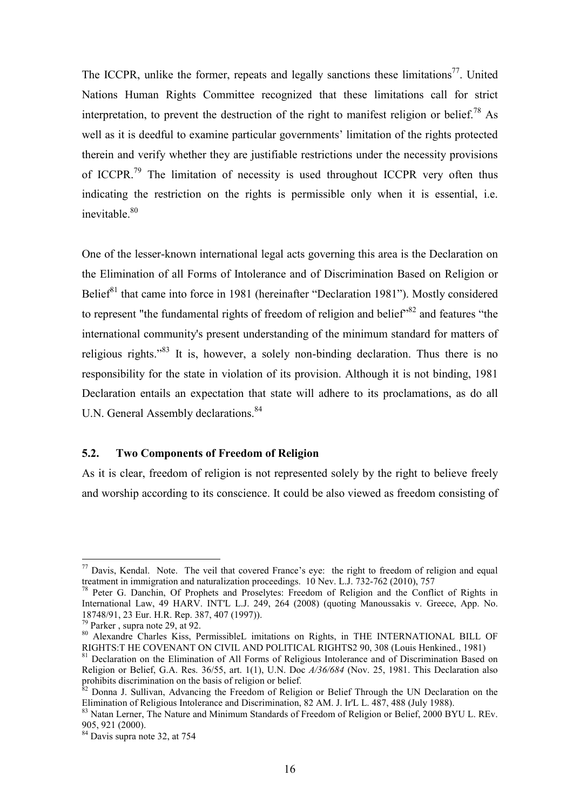The ICCPR, unlike the former, repeats and legally sanctions these limitations<sup>77</sup>. United Nations Human Rights Committee recognized that these limitations call for strict interpretation, to prevent the destruction of the right to manifest religion or belief.<sup>78</sup> As well as it is deedful to examine particular governments' limitation of the rights protected therein and verify whether they are justifiable restrictions under the necessity provisions of ICCPR.<sup>79</sup> The limitation of necessity is used throughout ICCPR very often thus indicating the restriction on the rights is permissible only when it is essential, i.e. inevitable  $80$ 

One of the lesser-known international legal acts governing this area is the Declaration on the Elimination of all Forms of Intolerance and of Discrimination Based on Religion or Belief<sup>81</sup> that came into force in 1981 (hereinafter "Declaration 1981"). Mostly considered to represent "the fundamental rights of freedom of religion and belief"<sup>82</sup> and features "the international community's present understanding of the minimum standard for matters of religious rights.<sup> $33$ </sup> It is, however, a solely non-binding declaration. Thus there is no responsibility for the state in violation of its provision. Although it is not binding, 1981 Declaration entails an expectation that state will adhere to its proclamations, as do all U.N. General Assembly declarations.<sup>84</sup>

#### **5.2. Two Components of Freedom of Religion**

As it is clear, freedom of religion is not represented solely by the right to believe freely and worship according to its conscience. It could be also viewed as freedom consisting of

 $77$  Davis, Kendal. Note. The veil that covered France's eye: the right to freedom of religion and equal treatment in immigration and naturalization proceedings. 10 Nev. L.J. 732-762 (2010), 757

<sup>&</sup>lt;sup>78</sup> Peter G. Danchin, Of Prophets and Proselytes: Freedom of Religion and the Conflict of Rights in International Law, 49 HARV. INT'L L.J. 249, 264 (2008) (quoting Manoussakis v. Greece, App. No. 18748/91, 23 Eur. H.R. Rep. 387, 407 (1997)).

<sup>79</sup> Parker , supra note 29, at 92.

<sup>80</sup> Alexandre Charles Kiss, PermissibleL imitations on Rights, in THE INTERNATIONAL BILL OF RIGHTS:T HE COVENANT ON CIVIL AND POLITICAL RIGHTS2 90, 308 (Louis Henkined., 1981)

<sup>&</sup>lt;sup>81</sup> Declaration on the Elimination of All Forms of Religious Intolerance and of Discrimination Based on Religion or Belief, G.A. Res. 36/55, art. 1(1), U.N. Doc *A/36/684* (Nov. 25, 1981. This Declaration also prohibits discrimination on the basis of religion or belief.

 $82$  Donna J. Sullivan, Advancing the Freedom of Religion or Belief Through the UN Declaration on the Elimination of Religious Intolerance and Discrimination, 82 AM. J. Ir'L L. 487, 488 (July 1988).

<sup>&</sup>lt;sup>83</sup> Natan Lerner, The Nature and Minimum Standards of Freedom of Religion or Belief, 2000 BYU L. REv. 905, 921 (2000).

<sup>84</sup> Davis supra note 32, at 754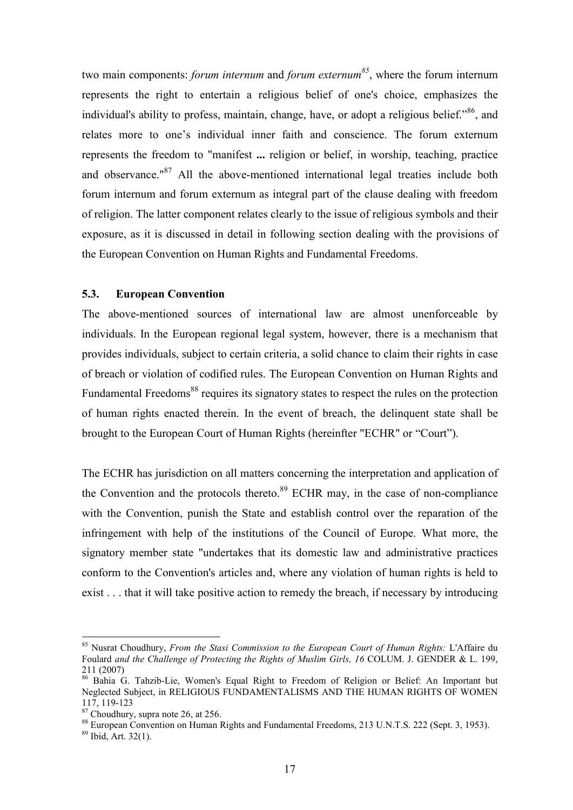two main components: *forum internum* and *forum externum<sup>85</sup>*, where the forum internum represents the right to entertain a religious belief of one's choice, emphasizes the individual's ability to profess, maintain, change, have, or adopt a religious belief."<sup>86</sup>, and relates more to one's individual inner faith and conscience. The forum externum represents the freedom to "manifest **...** religion or belief, in worship, teaching, practice and observance.<sup>"87</sup> All the above-mentioned international legal treaties include both forum internum and forum externum as integral part of the clause dealing with freedom of religion. The latter component relates clearly to the issue of religious symbols and their exposure, as it is discussed in detail in following section dealing with the provisions of the European Convention on Human Rights and Fundamental Freedoms.

#### **5.3. European Convention**

The above-mentioned sources of international law are almost unenforceable by individuals. In the European regional legal system, however, there is a mechanism that provides individuals, subject to certain criteria, a solid chance to claim their rights in case of breach or violation of codified rules. The European Convention on Human Rights and Fundamental Freedoms<sup>88</sup> requires its signatory states to respect the rules on the protection of human rights enacted therein. In the event of breach, the delinquent state shall be brought to the European Court of Human Rights (hereinfter "ECHR" or "Court").

The ECHR has jurisdiction on all matters concerning the interpretation and application of the Convention and the protocols thereto. $89$  ECHR may, in the case of non-compliance with the Convention, punish the State and establish control over the reparation of the infringement with help of the institutions of the Council of Europe. What more, the signatory member state "undertakes that its domestic law and administrative practices conform to the Convention's articles and, where any violation of human rights is held to exist . . . that it will take positive action to remedy the breach, if necessary by introducing

<sup>85</sup> Nusrat Choudhury, *From the Stasi Commission to the European Court of Human Rights:* L'Affaire du Foulard *and the Challenge of Protecting the Rights of Muslim Girls, 16* COLUM. J. GENDER & L. 199, 211 (2007)

<sup>86</sup> Bahia G. Tahzib-Lie, Women's Equal Right to Freedom of Religion or Belief: An Important but Neglected Subject, in RELIGIOUS FUNDAMENTALISMS AND THE HUMAN RIGHTS OF WOMEN 117, 119-123

<sup>&</sup>lt;sup>87</sup> Choudhury, supra note 26, at 256.

<sup>88</sup> European Convention on Human Rights and Fundamental Freedoms, 213 U.N.T.S. 222 (Sept. 3, 1953).

 $89$  Ibid, Art. 32(1).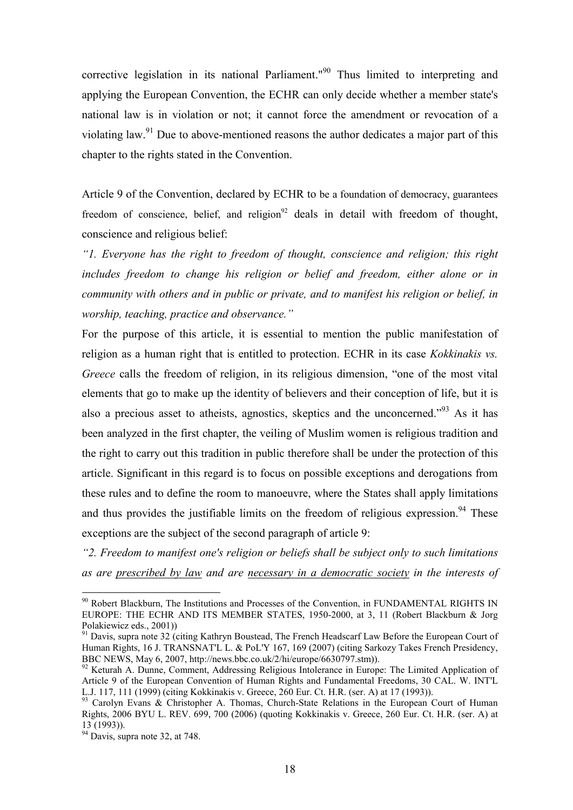corrective legislation in its national Parliament."<sup>90</sup> Thus limited to interpreting and applying the European Convention, the ECHR can only decide whether a member state's national law is in violation or not; it cannot force the amendment or revocation of a violating law.<sup>91</sup> Due to above-mentioned reasons the author dedicates a major part of this chapter to the rights stated in the Convention.

Article 9 of the Convention, declared by ECHR to be a foundation of democracy, guarantees freedom of conscience, belief, and religion<sup>92</sup> deals in detail with freedom of thought, conscience and religious belief:

*"1. Everyone has the right to freedom of thought, conscience and religion; this right*  includes freedom to change his religion or belief and freedom, either alone or in *community with others and in public or private, and to manifest his religion or belief, in worship, teaching, practice and observance."* 

For the purpose of this article, it is essential to mention the public manifestation of religion as a human right that is entitled to protection. ECHR in its case *Kokkinakis vs. Greece* calls the freedom of religion, in its religious dimension, "one of the most vital elements that go to make up the identity of believers and their conception of life, but it is also a precious asset to atheists, agnostics, skeptics and the unconcerned."<sup>93</sup> As it has been analyzed in the first chapter, the veiling of Muslim women is religious tradition and the right to carry out this tradition in public therefore shall be under the protection of this article. Significant in this regard is to focus on possible exceptions and derogations from these rules and to define the room to manoeuvre, where the States shall apply limitations and thus provides the justifiable limits on the freedom of religious expression.<sup>94</sup> These exceptions are the subject of the second paragraph of article 9:

*"2. Freedom to manifest one's religion or beliefs shall be subject only to such limitations as are prescribed by law and are necessary in a democratic society in the interests of* 

<sup>&</sup>lt;sup>90</sup> Robert Blackburn, The Institutions and Processes of the Convention, in FUNDAMENTAL RIGHTS IN EUROPE: THE ECHR AND ITS MEMBER STATES, 1950-2000, at 3, 11 (Robert Blackburn & Jorg Polakiewicz eds., 2001))

<sup>&</sup>lt;sup>91</sup> Davis, supra note 32 (citing Kathryn Boustead, The French Headscarf Law Before the European Court of Human Rights, 16 J. TRANSNAT'L L. & PoL'Y 167, 169 (2007) (citing Sarkozy Takes French Presidency, BBC NEWS, May 6, 2007, http://news.bbc.co.uk/2/hi/europe/6630797.stm)).

<sup>&</sup>lt;sup>92</sup> Keturah A. Dunne, Comment, Addressing Religious Intolerance in Europe: The Limited Application of Article 9 of the European Convention of Human Rights and Fundamental Freedoms, 30 CAL. W. INT'L L.J. 117, 111 (1999) (citing Kokkinakis v. Greece, 260 Eur. Ct. H.R. (ser. A) at 17 (1993)).

<sup>93</sup> Carolyn Evans & Christopher A. Thomas, Church-State Relations in the European Court of Human Rights, 2006 BYU L. REV. 699, 700 (2006) (quoting Kokkinakis v. Greece, 260 Eur. Ct. H.R. (ser. A) at 13 (1993)).

 $94$  Davis, supra note 32, at 748.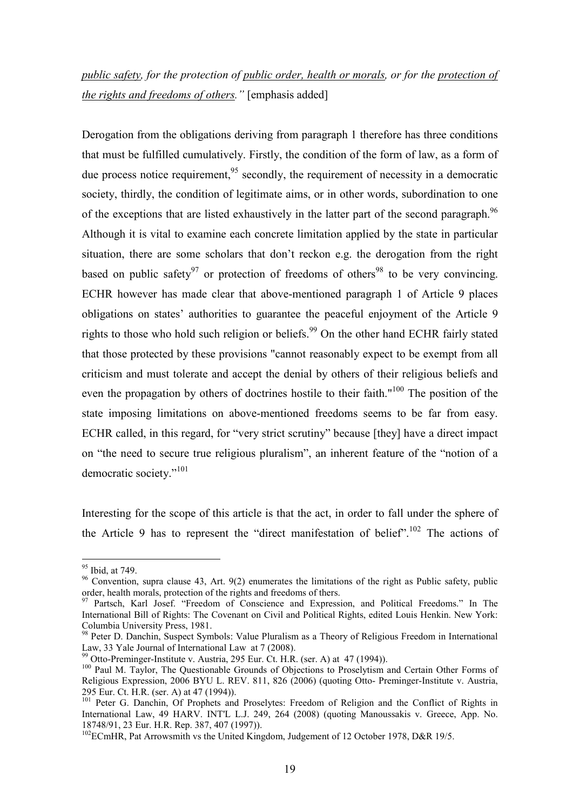## *public safety, for the protection of public order, health or morals, or for the protection of the rights and freedoms of others."* [emphasis added]

Derogation from the obligations deriving from paragraph 1 therefore has three conditions that must be fulfilled cumulatively. Firstly, the condition of the form of law, as a form of due process notice requirement,  $95$  secondly, the requirement of necessity in a democratic society, thirdly, the condition of legitimate aims, or in other words, subordination to one of the exceptions that are listed exhaustively in the latter part of the second paragraph.<sup>96</sup> Although it is vital to examine each concrete limitation applied by the state in particular situation, there are some scholars that don't reckon e.g. the derogation from the right based on public safety<sup>97</sup> or protection of freedoms of others<sup>98</sup> to be very convincing. ECHR however has made clear that above-mentioned paragraph 1 of Article 9 places obligations on states' authorities to guarantee the peaceful enjoyment of the Article 9 rights to those who hold such religion or beliefs.<sup>99</sup> On the other hand ECHR fairly stated that those protected by these provisions "cannot reasonably expect to be exempt from all criticism and must tolerate and accept the denial by others of their religious beliefs and even the propagation by others of doctrines hostile to their faith."<sup>100</sup> The position of the state imposing limitations on above-mentioned freedoms seems to be far from easy. ECHR called, in this regard, for "very strict scrutiny" because [they] have a direct impact on "the need to secure true religious pluralism", an inherent feature of the "notion of a democratic society."<sup>101</sup>

Interesting for the scope of this article is that the act, in order to fall under the sphere of the Article 9 has to represent the "direct manifestation of belief".<sup>102</sup> The actions of

<sup>&</sup>lt;sup>95</sup> Ibid, at 749.

<sup>&</sup>lt;sup>96</sup> Convention, supra clause 43, Art. 9(2) enumerates the limitations of the right as Public safety, public order, health morals, protection of the rights and freedoms of thers.

<sup>&</sup>lt;sup>97</sup> Partsch, Karl Josef. "Freedom of Conscience and Expression, and Political Freedoms." In The International Bill of Rights: The Covenant on Civil and Political Rights, edited Louis Henkin. New York: Columbia University Press, 1981.

<sup>98</sup> Peter D. Danchin, Suspect Symbols: Value Pluralism as a Theory of Religious Freedom in International Law, 33 Yale Journal of International Law at 7 (2008).

 $^{99}$  Otto-Preminger-Institute v. Austria, 295 Eur. Ct. H.R. (ser. A) at 47 (1994)).

<sup>&</sup>lt;sup>100</sup> Paul M. Taylor, The Questionable Grounds of Objections to Proselytism and Certain Other Forms of Religious Expression, 2006 BYU L. REV. 811, 826 (2006) (quoting Otto- Preminger-Institute v. Austria, 295 Eur. Ct. H.R. (ser. A) at 47 (1994)).

<sup>250</sup> Eur. Ct. 11.K. (Scr. A) at  $\pi$ /(122-1)).<br><sup>101</sup> Peter G. Danchin, Of Prophets and Proselytes: Freedom of Religion and the Conflict of Rights in International Law, 49 HARV. INT'L L.J. 249, 264 (2008) (quoting Manoussakis v. Greece, App. No. 18748/91, 23 Eur. H.R. Rep. 387, 407 (1997)).

 $102$ ECmHR, Pat Arrowsmith vs the United Kingdom, Judgement of 12 October 1978, D&R 19/5.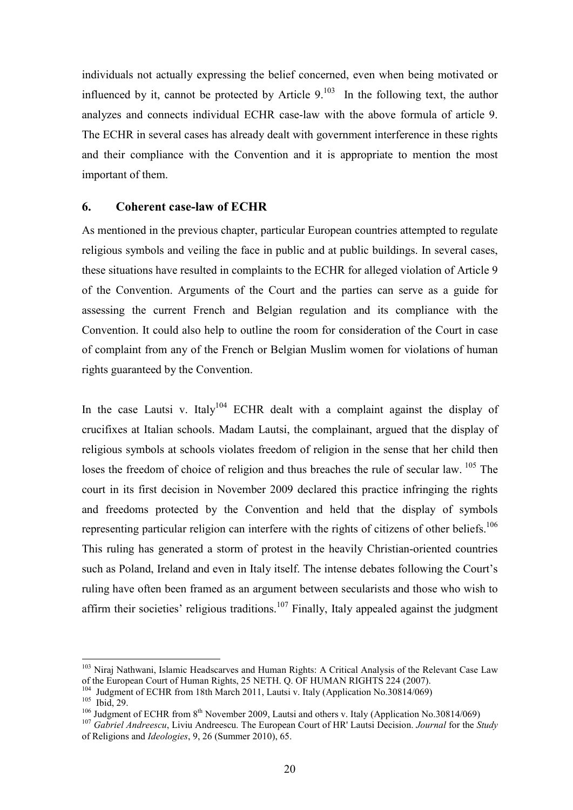individuals not actually expressing the belief concerned, even when being motivated or influenced by it, cannot be protected by Article  $9<sup>103</sup>$  In the following text, the author analyzes and connects individual ECHR case-law with the above formula of article 9. The ECHR in several cases has already dealt with government interference in these rights and their compliance with the Convention and it is appropriate to mention the most important of them.

#### **6. Coherent case-law of ECHR**

As mentioned in the previous chapter, particular European countries attempted to regulate religious symbols and veiling the face in public and at public buildings. In several cases, these situations have resulted in complaints to the ECHR for alleged violation of Article 9 of the Convention. Arguments of the Court and the parties can serve as a guide for assessing the current French and Belgian regulation and its compliance with the Convention. It could also help to outline the room for consideration of the Court in case of complaint from any of the French or Belgian Muslim women for violations of human rights guaranteed by the Convention.

In the case Lautsi v. Italy<sup>104</sup> ECHR dealt with a complaint against the display of crucifixes at Italian schools. Madam Lautsi, the complainant, argued that the display of religious symbols at schools violates freedom of religion in the sense that her child then loses the freedom of choice of religion and thus breaches the rule of secular law.<sup>105</sup> The court in its first decision in November 2009 declared this practice infringing the rights and freedoms protected by the Convention and held that the display of symbols representing particular religion can interfere with the rights of citizens of other beliefs.<sup>106</sup> This ruling has generated a storm of protest in the heavily Christian-oriented countries such as Poland, Ireland and even in Italy itself. The intense debates following the Court's ruling have often been framed as an argument between secularists and those who wish to affirm their societies' religious traditions.<sup>107</sup> Finally, Italy appealed against the judgment

<sup>&</sup>lt;sup>103</sup> Niraj Nathwani, Islamic Headscarves and Human Rights: A Critical Analysis of the Relevant Case Law of the European Court of Human Rights, 25 NETH. Q. OF HUMAN RIGHTS 224 (2007).

<sup>&</sup>lt;sup>104</sup> Judgment of ECHR from 18th March 2011, Lautsi v. Italy (Application No.30814/069)

 $105$  Ibid, 29.

<sup>&</sup>lt;sup>106</sup> Judgment of ECHR from  $8<sup>th</sup>$  November 2009, Lautsi and others v. Italy (Application No.30814/069)

<sup>107</sup> *Gabriel Andreescu*, Liviu Andreescu. The European Court of HR' Lautsi Decision. *Journal* for the *Study* of Religions and *Ideologies*, 9, 26 (Summer 2010), 65.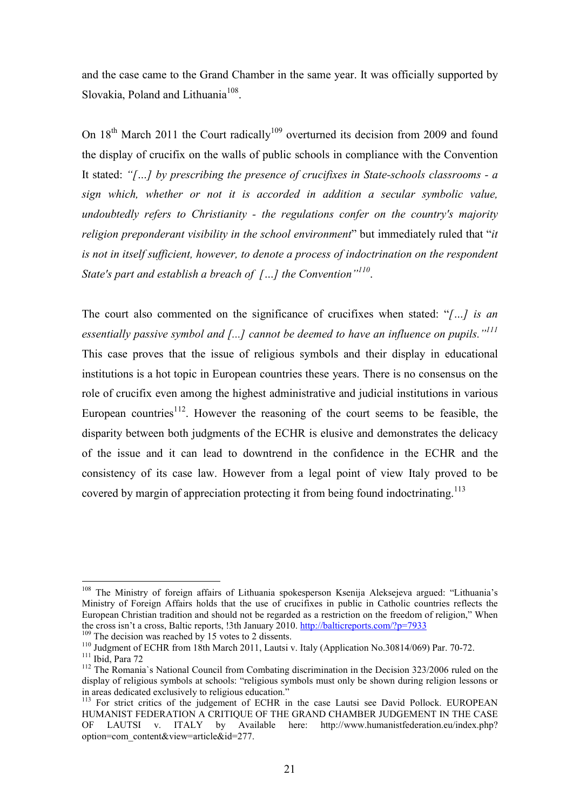and the case came to the Grand Chamber in the same year. It was officially supported by Slovakia, Poland and Lithuania<sup>108</sup>.

On  $18<sup>th</sup>$  March 2011 the Court radically<sup>109</sup> overturned its decision from 2009 and found the display of crucifix on the walls of public schools in compliance with the Convention It stated: *"[…] by prescribing the presence of crucifixes in State-schools classrooms - a sign which, whether or not it is accorded in addition a secular symbolic value, undoubtedly refers to Christianity - the regulations confer on the country's majority religion preponderant visibility in the school environment*" but immediately ruled that "*it is not in itself sufficient, however, to denote a process of indoctrination on the respondent State's part and establish a breach of […] the Convention"<sup>110</sup>* .

The court also commented on the significance of crucifixes when stated: "*[…] is an essentially passive symbol and [...] cannot be deemed to have an influence on pupils."<sup>111</sup>* This case proves that the issue of religious symbols and their display in educational institutions is a hot topic in European countries these years. There is no consensus on the role of crucifix even among the highest administrative and judicial institutions in various European countries<sup>112</sup>. However the reasoning of the court seems to be feasible, the disparity between both judgments of the ECHR is elusive and demonstrates the delicacy of the issue and it can lead to downtrend in the confidence in the ECHR and the consistency of its case law. However from a legal point of view Italy proved to be covered by margin of appreciation protecting it from being found indoctrinating.<sup>113</sup>

<sup>109</sup> The decision was reached by 15 votes to 2 dissents.

<sup>&</sup>lt;sup>108</sup> The Ministry of foreign affairs of Lithuania spokesperson Ksenija Aleksejeva argued: "Lithuania's Ministry of Foreign Affairs holds that the use of crucifixes in public in Catholic countries reflects the European Christian tradition and should not be regarded as a restriction on the freedom of religion," When the cross isn't a cross, Baltic reports, !3th January 2010. http://balticreports.com/?p=7933

<sup>&</sup>lt;sup>110</sup> Judgment of ECHR from 18th March 2011, Lautsi v. Italy (Application No.30814/069) Par. 70-72. <sup>111</sup> Ibid, Para 72

<sup>&</sup>lt;sup>112</sup> The Romania's National Council from Combating discrimination in the Decision 323/2006 ruled on the display of religious symbols at schools: "religious symbols must only be shown during religion lessons or in areas dedicated exclusively to religious education."

<sup>&</sup>lt;sup>113</sup> For strict critics of the judgement of ECHR in the case Lautsi see David Pollock. EUROPEAN HUMANIST FEDERATION A CRITIQUE OF THE GRAND CHAMBER JUDGEMENT IN THE CASE OF LAUTSI v. ITALY by Available here: http://www.humanistfederation.eu/index.php? option=com\_content&view=article&id=277.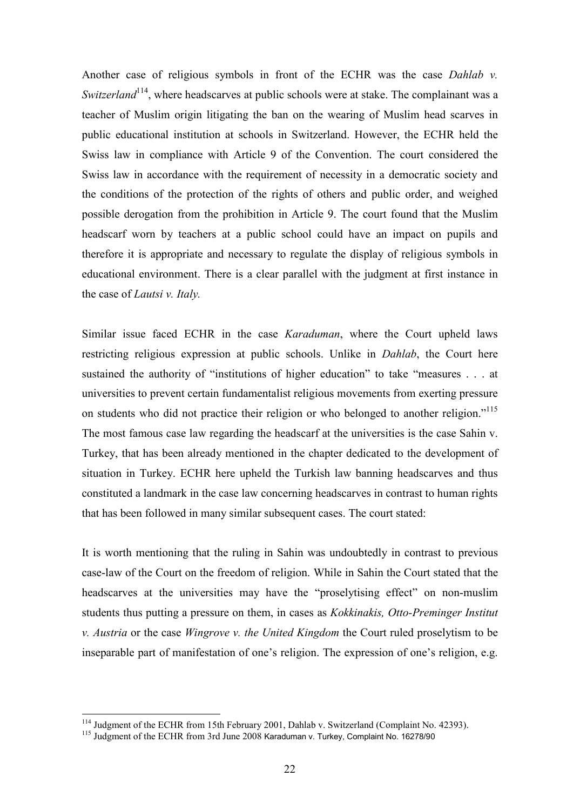Another case of religious symbols in front of the ECHR was the case *Dahlab v. Switzerland*<sup>114</sup>, where headscarves at public schools were at stake. The complainant was a teacher of Muslim origin litigating the ban on the wearing of Muslim head scarves in public educational institution at schools in Switzerland. However, the ECHR held the Swiss law in compliance with Article 9 of the Convention. The court considered the Swiss law in accordance with the requirement of necessity in a democratic society and the conditions of the protection of the rights of others and public order, and weighed possible derogation from the prohibition in Article 9. The court found that the Muslim headscarf worn by teachers at a public school could have an impact on pupils and therefore it is appropriate and necessary to regulate the display of religious symbols in educational environment. There is a clear parallel with the judgment at first instance in the case of *Lautsi v. Italy.*

Similar issue faced ECHR in the case *Karaduman*, where the Court upheld laws restricting religious expression at public schools. Unlike in *Dahlab*, the Court here sustained the authority of "institutions of higher education" to take "measures . . . at universities to prevent certain fundamentalist religious movements from exerting pressure on students who did not practice their religion or who belonged to another religion."<sup>115</sup> The most famous case law regarding the headscarf at the universities is the case Sahin v. Turkey, that has been already mentioned in the chapter dedicated to the development of situation in Turkey. ECHR here upheld the Turkish law banning headscarves and thus constituted a landmark in the case law concerning headscarves in contrast to human rights that has been followed in many similar subsequent cases. The court stated:

It is worth mentioning that the ruling in Sahin was undoubtedly in contrast to previous case-law of the Court on the freedom of religion. While in Sahin the Court stated that the headscarves at the universities may have the "proselytising effect" on non-muslim students thus putting a pressure on them, in cases as *Kokkinakis, Otto-Preminger Institut v. Austria* or the case *Wingrove v. the United Kingdom* the Court ruled proselytism to be inseparable part of manifestation of one's religion. The expression of one's religion, e.g.

<sup>&</sup>lt;sup>114</sup> Judgment of the ECHR from 15th February 2001, Dahlab v. Switzerland (Complaint No. 42393).

<sup>&</sup>lt;sup>115</sup> Judgment of the ECHR from 3rd June 2008 Karaduman v. Turkey, Complaint No. 16278/90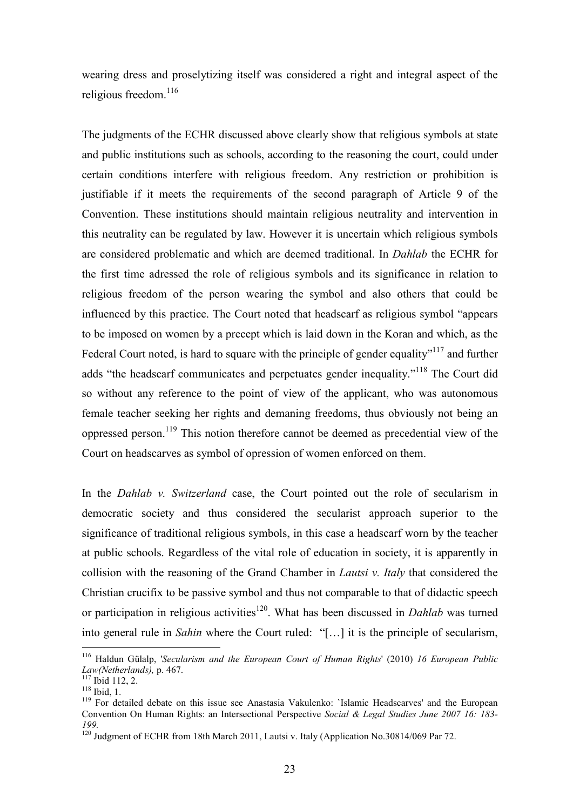wearing dress and proselytizing itself was considered a right and integral aspect of the religious freedom.<sup>116</sup>

The judgments of the ECHR discussed above clearly show that religious symbols at state and public institutions such as schools, according to the reasoning the court, could under certain conditions interfere with religious freedom. Any restriction or prohibition is justifiable if it meets the requirements of the second paragraph of Article 9 of the Convention. These institutions should maintain religious neutrality and intervention in this neutrality can be regulated by law. However it is uncertain which religious symbols are considered problematic and which are deemed traditional. In *Dahlab* the ECHR for the first time adressed the role of religious symbols and its significance in relation to religious freedom of the person wearing the symbol and also others that could be influenced by this practice. The Court noted that headscarf as religious symbol "appears to be imposed on women by a precept which is laid down in the Koran and which, as the Federal Court noted, is hard to square with the principle of gender equality<sup>"117</sup> and further adds "the headscarf communicates and perpetuates gender inequality."<sup>118</sup> The Court did so without any reference to the point of view of the applicant, who was autonomous female teacher seeking her rights and demaning freedoms, thus obviously not being an oppressed person.<sup>119</sup> This notion therefore cannot be deemed as precedential view of the Court on headscarves as symbol of opression of women enforced on them.

In the *Dahlab v. Switzerland* case, the Court pointed out the role of secularism in democratic society and thus considered the secularist approach superior to the significance of traditional religious symbols, in this case a headscarf worn by the teacher at public schools. Regardless of the vital role of education in society, it is apparently in collision with the reasoning of the Grand Chamber in *Lautsi v. Italy* that considered the Christian crucifix to be passive symbol and thus not comparable to that of didactic speech or participation in religious activities<sup>120</sup>. What has been discussed in *Dahlab* was turned into general rule in *Sahin* where the Court ruled: "[…] it is the principle of secularism,

<sup>116</sup> Haldun Gülalp, '*Secularism and the European Court of Human Rights*' (2010) *16 European Public Law(Netherlands),* p. 467.

 $117$  Ibid 112, 2.

<sup>118</sup> Ibid, 1.

<sup>&</sup>lt;sup>119</sup> For detailed debate on this issue see Anastasia Vakulenko: 'Islamic Headscarves' and the European Convention On Human Rights: an Intersectional Perspective *Social & Legal Studies June 2007 16: 183- 199.*

<sup>&</sup>lt;sup>120</sup> Judgment of ECHR from 18th March 2011, Lautsi v. Italy (Application No. 30814/069 Par 72.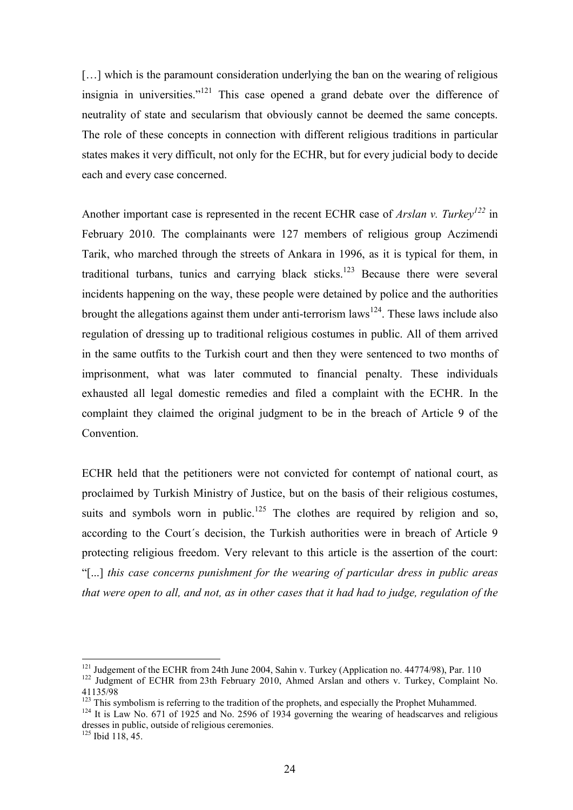[...] which is the paramount consideration underlying the ban on the wearing of religious insignia in universities."<sup>121</sup> This case opened a grand debate over the difference of neutrality of state and secularism that obviously cannot be deemed the same concepts. The role of these concepts in connection with different religious traditions in particular states makes it very difficult, not only for the ECHR, but for every judicial body to decide each and every case concerned.

Another important case is represented in the recent ECHR case of *Arslan v. Turkey<sup>122</sup>* in February 2010. The complainants were 127 members of religious group Aczimendi Tarik, who marched through the streets of Ankara in 1996, as it is typical for them, in traditional turbans, tunics and carrying black sticks.<sup>123</sup> Because there were several incidents happening on the way, these people were detained by police and the authorities brought the allegations against them under anti-terrorism laws<sup>124</sup>. These laws include also regulation of dressing up to traditional religious costumes in public. All of them arrived in the same outfits to the Turkish court and then they were sentenced to two months of imprisonment, what was later commuted to financial penalty. These individuals exhausted all legal domestic remedies and filed a complaint with the ECHR. In the complaint they claimed the original judgment to be in the breach of Article 9 of the Convention.

ECHR held that the petitioners were not convicted for contempt of national court, as proclaimed by Turkish Ministry of Justice, but on the basis of their religious costumes, suits and symbols worn in public.<sup>125</sup> The clothes are required by religion and so, according to the Court´s decision, the Turkish authorities were in breach of Article 9 protecting religious freedom. Very relevant to this article is the assertion of the court: "[...] *this case concerns punishment for the wearing of particular dress in public areas that were open to all, and not, as in other cases that it had had to judge, regulation of the* 

 $121$  Judgement of the ECHR from 24th June 2004, Sahin v. Turkey (Application no. 44774/98), Par. 110

<sup>&</sup>lt;sup>122</sup> Judgment of ECHR from 23th February 2010, Ahmed Arslan and others v. Turkey, Complaint No. 41135/98

<sup>&</sup>lt;sup>123</sup> This symbolism is referring to the tradition of the prophets, and especially the Prophet Muhammed.

<sup>&</sup>lt;sup>124</sup> It is Law No. 671 of 1925 and No. 2596 of 1934 governing the wearing of headscarves and religious dresses in public, outside of religious ceremonies.

 $125$  Ibid 118, 45.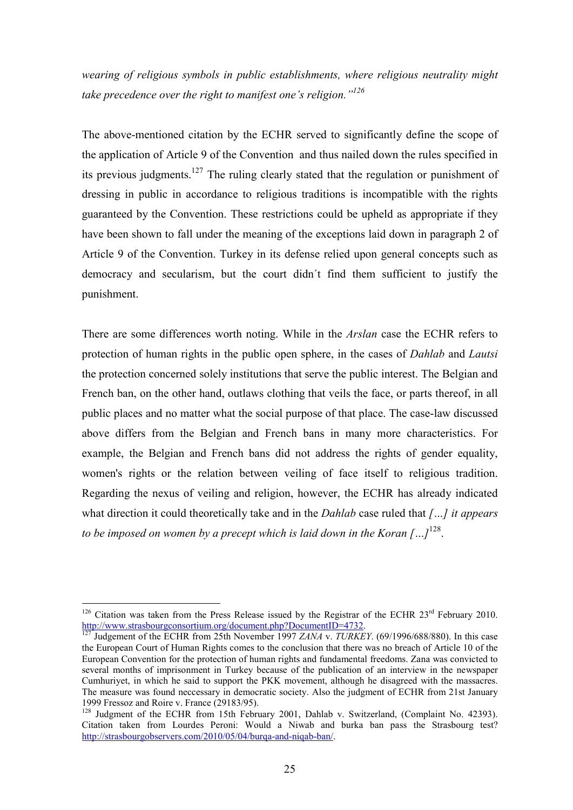*wearing of religious symbols in public establishments, where religious neutrality might take precedence over the right to manifest one's religion."<sup>126</sup>*

The above-mentioned citation by the ECHR served to significantly define the scope of the application of Article 9 of the Convention and thus nailed down the rules specified in its previous judgments.<sup>127</sup> The ruling clearly stated that the regulation or punishment of dressing in public in accordance to religious traditions is incompatible with the rights guaranteed by the Convention. These restrictions could be upheld as appropriate if they have been shown to fall under the meaning of the exceptions laid down in paragraph 2 of Article 9 of the Convention. Turkey in its defense relied upon general concepts such as democracy and secularism, but the court didn´t find them sufficient to justify the punishment.

There are some differences worth noting. While in the *Arslan* case the ECHR refers to protection of human rights in the public open sphere, in the cases of *Dahlab* and *Lautsi* the protection concerned solely institutions that serve the public interest. The Belgian and French ban, on the other hand, outlaws clothing that veils the face, or parts thereof, in all public places and no matter what the social purpose of that place. The case-law discussed above differs from the Belgian and French bans in many more characteristics. For example, the Belgian and French bans did not address the rights of gender equality, women's rights or the relation between veiling of face itself to religious tradition. Regarding the nexus of veiling and religion, however, the ECHR has already indicated what direction it could theoretically take and in the *Dahlab* case ruled that *[…] it appears to be imposed on women by a precept which is laid down in the Koran […]*<sup>128</sup> .

<sup>&</sup>lt;sup>126</sup> Citation was taken from the Press Release issued by the Registrar of the ECHR  $23<sup>rd</sup>$  February 2010. http://www.strasbourgconsortium.org/document.php?DocumentID=4732.

<sup>127</sup> Judgement of the ECHR from 25th November 1997 *ZANA* v. *TURKEY*. (69/1996/688/880). In this case the European Court of Human Rights comes to the conclusion that there was no breach of Article 10 of the European Convention for the protection of human rights and fundamental freedoms. Zana was convicted to several months of imprisonment in Turkey because of the publication of an interview in the newspaper Cumhuriyet, in which he said to support the PKK movement, although he disagreed with the massacres. The measure was found neccessary in democratic society. Also the judgment of ECHR from 21st January 1999 Fressoz and Roire v. France (29183/95).

 $128$  Judgment of the ECHR from 15th February 2001, Dahlab v. Switzerland, (Complaint No. 42393). Citation taken from Lourdes Peroni: Would a Niwab and burka ban pass the Strasbourg test? http://strasbourgobservers.com/2010/05/04/burqa-and-niqab-ban/.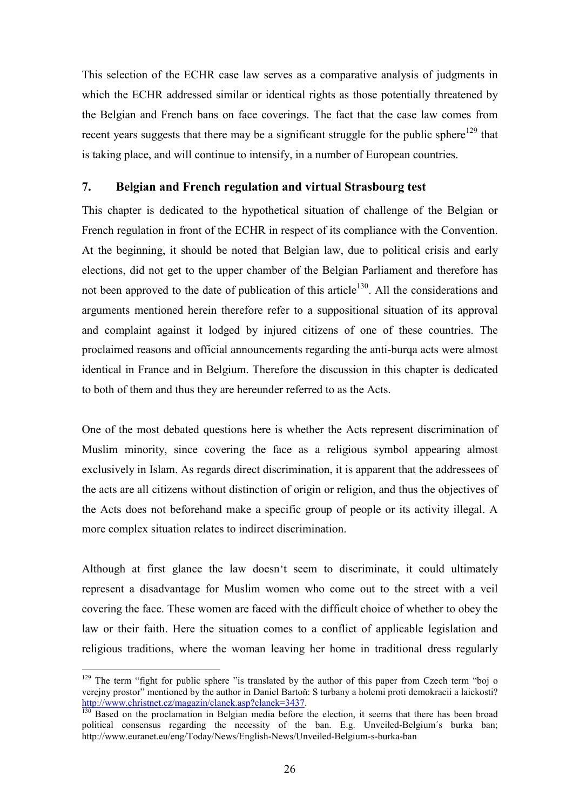This selection of the ECHR case law serves as a comparative analysis of judgments in which the ECHR addressed similar or identical rights as those potentially threatened by the Belgian and French bans on face coverings. The fact that the case law comes from recent years suggests that there may be a significant struggle for the public sphere<sup>129</sup> that is taking place, and will continue to intensify, in a number of European countries.

#### **7. Belgian and French regulation and virtual Strasbourg test**

This chapter is dedicated to the hypothetical situation of challenge of the Belgian or French regulation in front of the ECHR in respect of its compliance with the Convention. At the beginning, it should be noted that Belgian law, due to political crisis and early elections, did not get to the upper chamber of the Belgian Parliament and therefore has not been approved to the date of publication of this article<sup>130</sup>. All the considerations and arguments mentioned herein therefore refer to a suppositional situation of its approval and complaint against it lodged by injured citizens of one of these countries. The proclaimed reasons and official announcements regarding the anti-burqa acts were almost identical in France and in Belgium. Therefore the discussion in this chapter is dedicated to both of them and thus they are hereunder referred to as the Acts.

One of the most debated questions here is whether the Acts represent discrimination of Muslim minority, since covering the face as a religious symbol appearing almost exclusively in Islam. As regards direct discrimination, it is apparent that the addressees of the acts are all citizens without distinction of origin or religion, and thus the objectives of the Acts does not beforehand make a specific group of people or its activity illegal. A more complex situation relates to indirect discrimination.

Although at first glance the law doesn't seem to discriminate, it could ultimately represent a disadvantage for Muslim women who come out to the street with a veil covering the face. These women are faced with the difficult choice of whether to obey the law or their faith. Here the situation comes to a conflict of applicable legislation and religious traditions, where the woman leaving her home in traditional dress regularly

 $129$  The term "fight for public sphere "is translated by the author of this paper from Czech term "boj o verejny prostor" mentioned by the author in Daniel Bartoň: S turbany a holemi proti demokracii a laickosti? http://www.christnet.cz/magazin/clanek.asp?clanek=3437.

<sup>&</sup>lt;sup>130</sup> Based on the proclamation in Belgian media before the election, it seems that there has been broad political consensus regarding the necessity of the ban. E.g. Unveiled-Belgium´s burka ban; http://www.euranet.eu/eng/Today/News/English-News/Unveiled-Belgium-s-burka-ban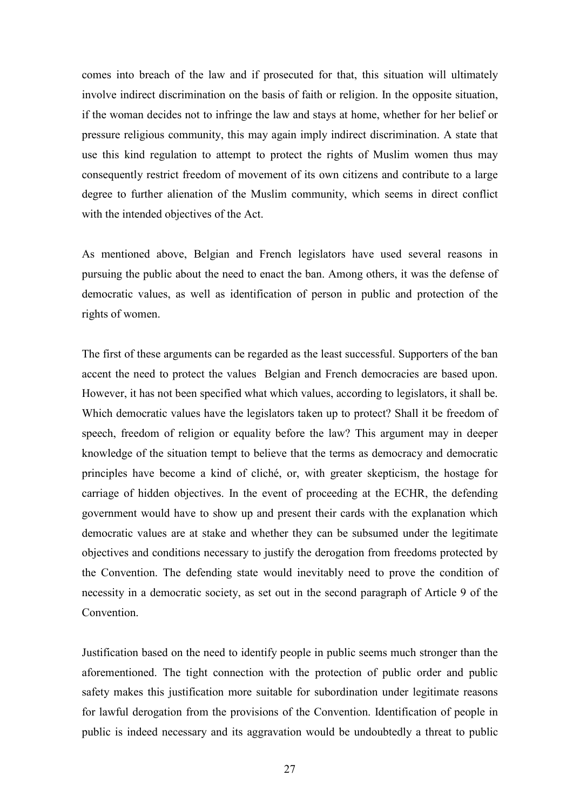comes into breach of the law and if prosecuted for that, this situation will ultimately involve indirect discrimination on the basis of faith or religion. In the opposite situation, if the woman decides not to infringe the law and stays at home, whether for her belief or pressure religious community, this may again imply indirect discrimination. A state that use this kind regulation to attempt to protect the rights of Muslim women thus may consequently restrict freedom of movement of its own citizens and contribute to a large degree to further alienation of the Muslim community, which seems in direct conflict with the intended objectives of the Act.

As mentioned above, Belgian and French legislators have used several reasons in pursuing the public about the need to enact the ban. Among others, it was the defense of democratic values, as well as identification of person in public and protection of the rights of women.

The first of these arguments can be regarded as the least successful. Supporters of the ban accent the need to protect the values Belgian and French democracies are based upon. However, it has not been specified what which values, according to legislators, it shall be. Which democratic values have the legislators taken up to protect? Shall it be freedom of speech, freedom of religion or equality before the law? This argument may in deeper knowledge of the situation tempt to believe that the terms as democracy and democratic principles have become a kind of cliché, or, with greater skepticism, the hostage for carriage of hidden objectives. In the event of proceeding at the ECHR, the defending government would have to show up and present their cards with the explanation which democratic values are at stake and whether they can be subsumed under the legitimate objectives and conditions necessary to justify the derogation from freedoms protected by the Convention. The defending state would inevitably need to prove the condition of necessity in a democratic society, as set out in the second paragraph of Article 9 of the Convention.

Justification based on the need to identify people in public seems much stronger than the aforementioned. The tight connection with the protection of public order and public safety makes this justification more suitable for subordination under legitimate reasons for lawful derogation from the provisions of the Convention. Identification of people in public is indeed necessary and its aggravation would be undoubtedly a threat to public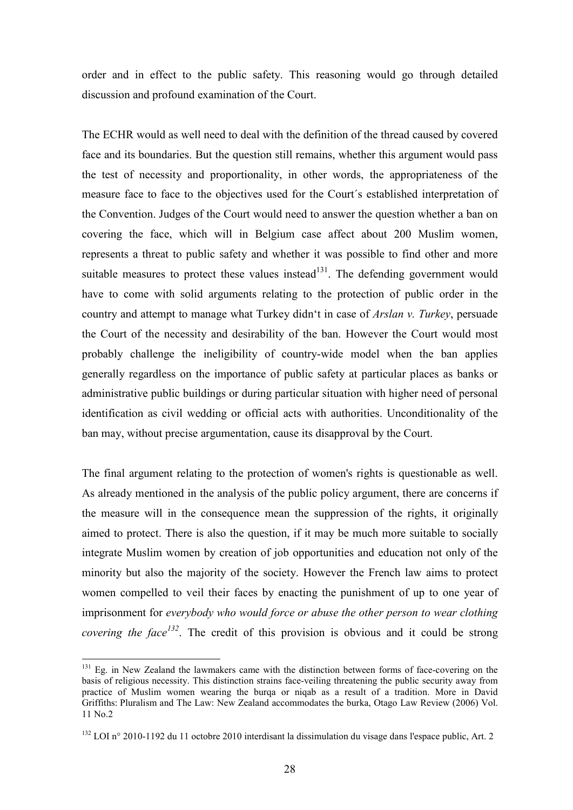order and in effect to the public safety. This reasoning would go through detailed discussion and profound examination of the Court.

The ECHR would as well need to deal with the definition of the thread caused by covered face and its boundaries. But the question still remains, whether this argument would pass the test of necessity and proportionality, in other words, the appropriateness of the measure face to face to the objectives used for the Court´s established interpretation of the Convention. Judges of the Court would need to answer the question whether a ban on covering the face, which will in Belgium case affect about 200 Muslim women, represents a threat to public safety and whether it was possible to find other and more suitable measures to protect these values instead $^{131}$ . The defending government would have to come with solid arguments relating to the protection of public order in the country and attempt to manage what Turkey didn't in case of *Arslan v. Turkey*, persuade the Court of the necessity and desirability of the ban. However the Court would most probably challenge the ineligibility of country-wide model when the ban applies generally regardless on the importance of public safety at particular places as banks or administrative public buildings or during particular situation with higher need of personal identification as civil wedding or official acts with authorities. Unconditionality of the ban may, without precise argumentation, cause its disapproval by the Court.

The final argument relating to the protection of women's rights is questionable as well. As already mentioned in the analysis of the public policy argument, there are concerns if the measure will in the consequence mean the suppression of the rights, it originally aimed to protect. There is also the question, if it may be much more suitable to socially integrate Muslim women by creation of job opportunities and education not only of the minority but also the majority of the society. However the French law aims to protect women compelled to veil their faces by enacting the punishment of up to one year of imprisonment for *everybody who would force or abuse the other person to wear clothing covering the face<sup>132</sup>*. The credit of this provision is obvious and it could be strong

<sup>&</sup>lt;sup>131</sup> Eg. in New Zealand the lawmakers came with the distinction between forms of face-covering on the basis of religious necessity. This distinction strains face-veiling threatening the public security away from practice of Muslim women wearing the burqa or niqab as a result of a tradition. More in David Griffiths: Pluralism and The Law: New Zealand accommodates the burka, Otago Law Review (2006) Vol. 11 No.2

 $132$  LOI n° 2010-1192 du 11 octobre 2010 interdisant la dissimulation du visage dans l'espace public, Art. 2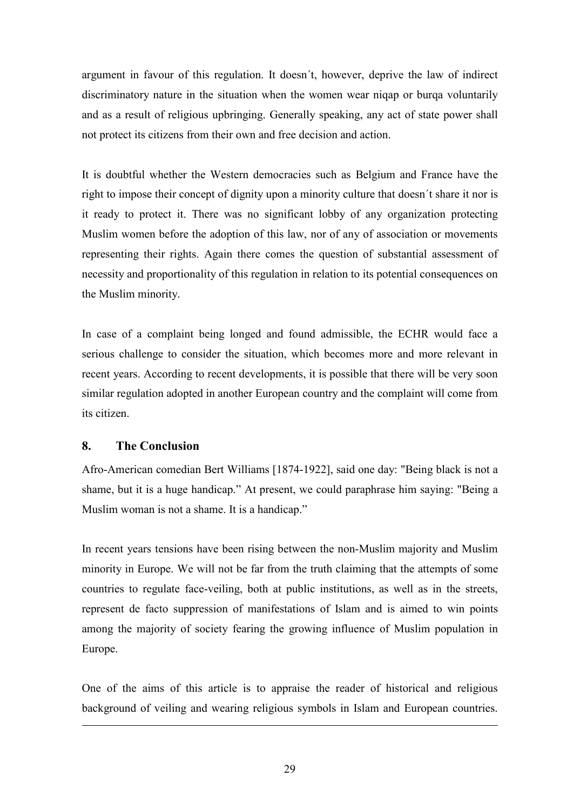argument in favour of this regulation. It doesn´t, however, deprive the law of indirect discriminatory nature in the situation when the women wear niqap or burqa voluntarily and as a result of religious upbringing. Generally speaking, any act of state power shall not protect its citizens from their own and free decision and action.

It is doubtful whether the Western democracies such as Belgium and France have the right to impose their concept of dignity upon a minority culture that doesn´t share it nor is it ready to protect it. There was no significant lobby of any organization protecting Muslim women before the adoption of this law, nor of any of association or movements representing their rights. Again there comes the question of substantial assessment of necessity and proportionality of this regulation in relation to its potential consequences on the Muslim minority.

In case of a complaint being longed and found admissible, the ECHR would face a serious challenge to consider the situation, which becomes more and more relevant in recent years. According to recent developments, it is possible that there will be very soon similar regulation adopted in another European country and the complaint will come from its citizen.

#### **8. The Conclusion**

1

Afro-American comedian Bert Williams [1874-1922], said one day: "Being black is not a shame, but it is a huge handicap." At present, we could paraphrase him saying: "Being a Muslim woman is not a shame. It is a handicap."

In recent years tensions have been rising between the non-Muslim majority and Muslim minority in Europe. We will not be far from the truth claiming that the attempts of some countries to regulate face-veiling, both at public institutions, as well as in the streets, represent de facto suppression of manifestations of Islam and is aimed to win points among the majority of society fearing the growing influence of Muslim population in Europe.

One of the aims of this article is to appraise the reader of historical and religious background of veiling and wearing religious symbols in Islam and European countries.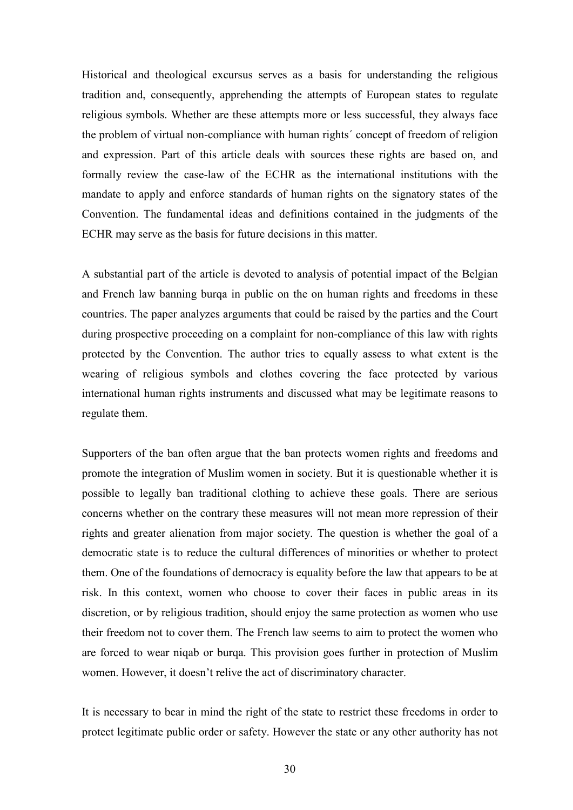Historical and theological excursus serves as a basis for understanding the religious tradition and, consequently, apprehending the attempts of European states to regulate religious symbols. Whether are these attempts more or less successful, they always face the problem of virtual non-compliance with human rights´ concept of freedom of religion and expression. Part of this article deals with sources these rights are based on, and formally review the case-law of the ECHR as the international institutions with the mandate to apply and enforce standards of human rights on the signatory states of the Convention. The fundamental ideas and definitions contained in the judgments of the ECHR may serve as the basis for future decisions in this matter.

A substantial part of the article is devoted to analysis of potential impact of the Belgian and French law banning burqa in public on the on human rights and freedoms in these countries. The paper analyzes arguments that could be raised by the parties and the Court during prospective proceeding on a complaint for non-compliance of this law with rights protected by the Convention. The author tries to equally assess to what extent is the wearing of religious symbols and clothes covering the face protected by various international human rights instruments and discussed what may be legitimate reasons to regulate them.

Supporters of the ban often argue that the ban protects women rights and freedoms and promote the integration of Muslim women in society. But it is questionable whether it is possible to legally ban traditional clothing to achieve these goals. There are serious concerns whether on the contrary these measures will not mean more repression of their rights and greater alienation from major society. The question is whether the goal of a democratic state is to reduce the cultural differences of minorities or whether to protect them. One of the foundations of democracy is equality before the law that appears to be at risk. In this context, women who choose to cover their faces in public areas in its discretion, or by religious tradition, should enjoy the same protection as women who use their freedom not to cover them. The French law seems to aim to protect the women who are forced to wear niqab or burqa. This provision goes further in protection of Muslim women. However, it doesn't relive the act of discriminatory character.

It is necessary to bear in mind the right of the state to restrict these freedoms in order to protect legitimate public order or safety. However the state or any other authority has not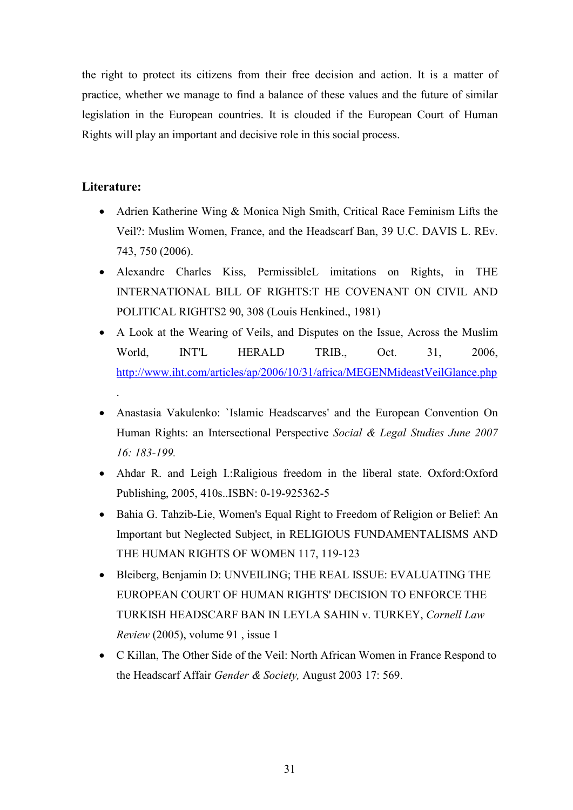the right to protect its citizens from their free decision and action. It is a matter of practice, whether we manage to find a balance of these values and the future of similar legislation in the European countries. It is clouded if the European Court of Human Rights will play an important and decisive role in this social process.

#### **Literature:**

.

- Adrien Katherine Wing & Monica Nigh Smith, Critical Race Feminism Lifts the Veil?: Muslim Women, France, and the Headscarf Ban, 39 U.C. DAVIS L. REv. 743, 750 (2006).
- Alexandre Charles Kiss, PermissibleL imitations on Rights, in THE INTERNATIONAL BILL OF RIGHTS:T HE COVENANT ON CIVIL AND POLITICAL RIGHTS2 90, 308 (Louis Henkined., 1981)
- A Look at the Wearing of Veils, and Disputes on the Issue, Across the Muslim World, INT'L HERALD TRIB., Oct. 31, 2006, http://www.iht.com/articles/ap/2006/10/31/africa/MEGENMideastVeilGlance.php
- Anastasia Vakulenko: `Islamic Headscarves' and the European Convention On Human Rights: an Intersectional Perspective *Social & Legal Studies June 2007 16: 183-199.*
- Ahdar R. and Leigh I.:Raligious freedom in the liberal state. Oxford:Oxford Publishing, 2005, 410s..ISBN: 0-19-925362-5
- Bahia G. Tahzib-Lie, Women's Equal Right to Freedom of Religion or Belief: An Important but Neglected Subject, in RELIGIOUS FUNDAMENTALISMS AND THE HUMAN RIGHTS OF WOMEN 117, 119-123
- Bleiberg, Benjamin D: UNVEILING; THE REAL ISSUE: EVALUATING THE EUROPEAN COURT OF HUMAN RIGHTS' DECISION TO ENFORCE THE TURKISH HEADSCARF BAN IN LEYLA SAHIN v. TURKEY, *Cornell Law Review* (2005), volume 91 , issue 1
- C Killan, The Other Side of the Veil: North African Women in France Respond to the Headscarf Affair *Gender & Society,* August 2003 17: 569.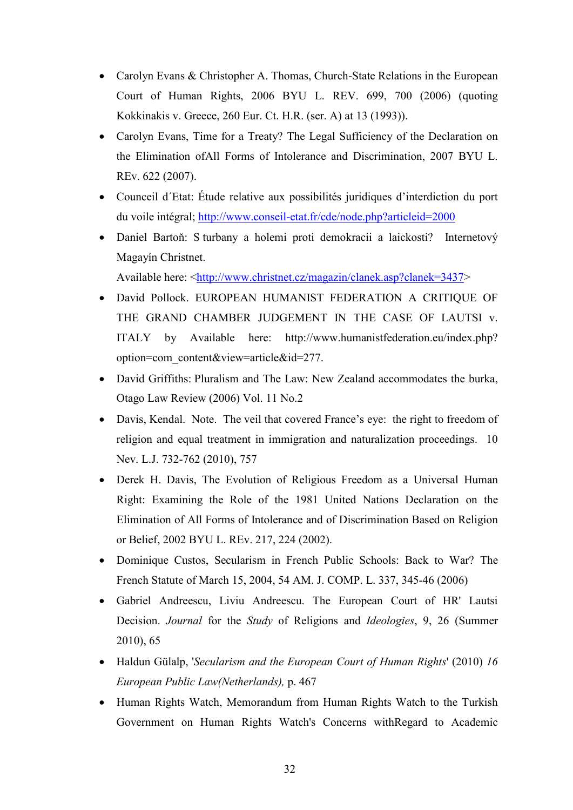- Carolyn Evans & Christopher A. Thomas, Church-State Relations in the European Court of Human Rights, 2006 BYU L. REV. 699, 700 (2006) (quoting Kokkinakis v. Greece, 260 Eur. Ct. H.R. (ser. A) at 13 (1993)).
- Carolyn Evans, Time for a Treaty? The Legal Sufficiency of the Declaration on the Elimination ofAll Forms of Intolerance and Discrimination, 2007 BYU L. REv. 622 (2007).
- Counceil d´Etat: Étude relative aux possibilités juridiques d'interdiction du port du voile intégral; http://www.conseil-etat.fr/cde/node.php?articleid=2000
- Daniel Bartoň: S turbany a holemi proti demokracii a laickosti? Internetový Magayín Christnet.

Available here: <http://www.christnet.cz/magazin/clanek.asp?clanek=3437>

- David Pollock. EUROPEAN HUMANIST FEDERATION A CRITIQUE OF THE GRAND CHAMBER JUDGEMENT IN THE CASE OF LAUTSI v. ITALY by Available here: http://www.humanistfederation.eu/index.php? option=com\_content&view=article&id=277.
- David Griffiths: Pluralism and The Law: New Zealand accommodates the burka, Otago Law Review (2006) Vol. 11 No.2
- Davis, Kendal. Note. The veil that covered France's eye: the right to freedom of religion and equal treatment in immigration and naturalization proceedings. 10 Nev. L.J. 732-762 (2010), 757
- Derek H. Davis, The Evolution of Religious Freedom as a Universal Human Right: Examining the Role of the 1981 United Nations Declaration on the Elimination of All Forms of Intolerance and of Discrimination Based on Religion or Belief, 2002 BYU L. REv. 217, 224 (2002).
- Dominique Custos, Secularism in French Public Schools: Back to War? The French Statute of March 15, 2004, 54 AM. J. COMP. L. 337, 345-46 (2006)
- Gabriel Andreescu, Liviu Andreescu. The European Court of HR' Lautsi Decision. *Journal* for the *Study* of Religions and *Ideologies*, 9, 26 (Summer 2010), 65
- Haldun Gülalp, '*Secularism and the European Court of Human Rights*' (2010) *16 European Public Law(Netherlands),* p. 467
- Human Rights Watch, Memorandum from Human Rights Watch to the Turkish Government on Human Rights Watch's Concerns withRegard to Academic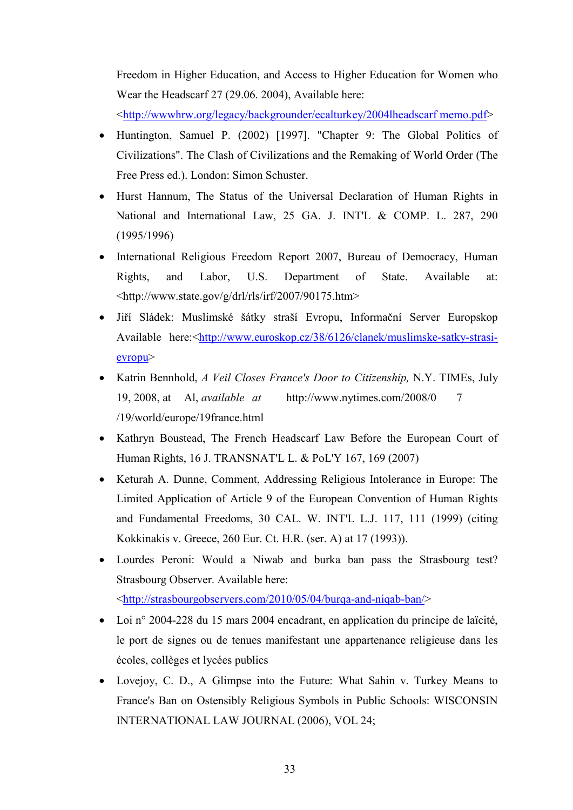Freedom in Higher Education, and Access to Higher Education for Women who Wear the Headscarf 27 (29.06. 2004), Available here:

<http://wwwhrw.org/legacy/backgrounder/ecalturkey/2004lheadscarf memo.pdf>

- Huntington, Samuel P. (2002) [1997]. "Chapter 9: The Global Politics of Civilizations". The Clash of Civilizations and the Remaking of World Order (The Free Press ed.). London: Simon Schuster.
- Hurst Hannum, The Status of the Universal Declaration of Human Rights in National and International Law, 25 GA. J. INT'L & COMP. L. 287, 290 (1995/1996)
- International Religious Freedom Report 2007, Bureau of Democracy, Human Rights, and Labor, U.S. Department of State. Available at: <http://www.state.gov/g/drl/rls/irf/2007/90175.htm>
- Jiří Sládek: Muslimské šátky straší Evropu, Informační Server Europskop Available here:<http://www.euroskop.cz/38/6126/clanek/muslimske-satky-strasievropu>
- Katrin Bennhold, *A Veil Closes France's Door to Citizenship,* N.Y. TIMEs, July 19, 2008, at Al, *available at* http://www.nytimes.com/2008/0 7 /19/world/europe/19france.html
- Kathryn Boustead, The French Headscarf Law Before the European Court of Human Rights, 16 J. TRANSNAT'L L. & PoL'Y 167, 169 (2007)
- Keturah A. Dunne, Comment, Addressing Religious Intolerance in Europe: The Limited Application of Article 9 of the European Convention of Human Rights and Fundamental Freedoms, 30 CAL. W. INT'L L.J. 117, 111 (1999) (citing Kokkinakis v. Greece, 260 Eur. Ct. H.R. (ser. A) at 17 (1993)).
- Lourdes Peroni: Would a Niwab and burka ban pass the Strasbourg test? Strasbourg Observer. Available here: <http://strasbourgobservers.com/2010/05/04/burqa-and-niqab-ban/>
- Loi n° 2004-228 du 15 mars 2004 encadrant, en application du principe de laïcité, le port de signes ou de tenues manifestant une appartenance religieuse dans les écoles, collèges et lycées publics
- Lovejoy, C. D., A Glimpse into the Future: What Sahin v. Turkey Means to France's Ban on Ostensibly Religious Symbols in Public Schools: WISCONSIN INTERNATIONAL LAW JOURNAL (2006), VOL 24;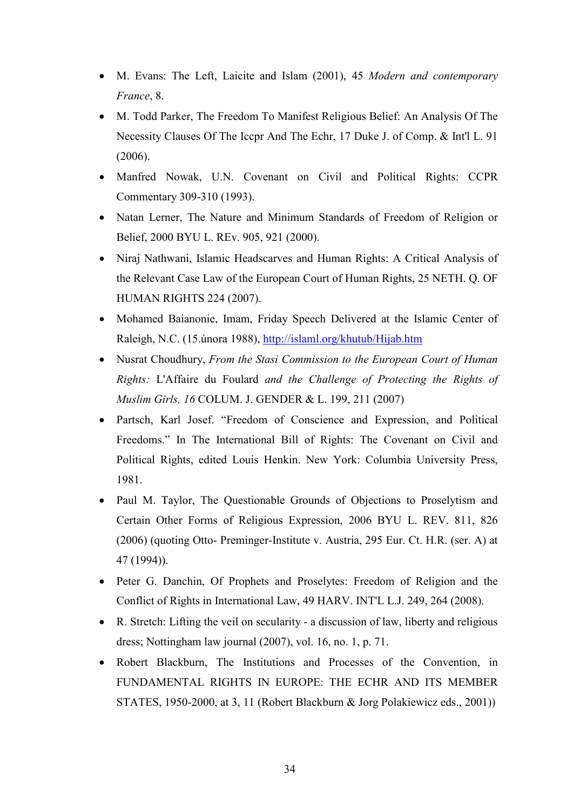- M. Evans: The Left, Laicite and Islam (2001), 45 *Modern and contemporary France*, 8.
- M. Todd Parker, The Freedom To Manifest Religious Belief: An Analysis Of The Necessity Clauses Of The Iccpr And The Echr, 17 Duke J. of Comp. & Int'l L. 91 (2006).
- Manfred Nowak, U.N. Covenant on Civil and Political Rights: CCPR Commentary 309-310 (1993).
- Natan Lerner, The Nature and Minimum Standards of Freedom of Religion or Belief, 2000 BYU L. REv. 905, 921 (2000).
- Niraj Nathwani, Islamic Headscarves and Human Rights: A Critical Analysis of the Relevant Case Law of the European Court of Human Rights, 25 NETH. Q. OF HUMAN RIGHTS 224 (2007).
- Mohamed Baianonie, Imam, Friday Speech Delivered at the Islamic Center of Raleigh, N.C. (15.února 1988), http://islaml.org/khutub/Hijab.htm
- Nusrat Choudhury, *From the Stasi Commission to the European Court of Human Rights:* L'Affaire du Foulard *and the Challenge of Protecting the Rights of Muslim Girls, 16* COLUM. J. GENDER & L. 199, 211 (2007)
- Partsch, Karl Josef. "Freedom of Conscience and Expression, and Political Freedoms." In The International Bill of Rights: The Covenant on Civil and Political Rights, edited Louis Henkin. New York: Columbia University Press, 1981.
- Paul M. Taylor, The Questionable Grounds of Objections to Proselytism and Certain Other Forms of Religious Expression, 2006 BYU L. REV. 811, 826 (2006) (quoting Otto- Preminger-Institute v. Austria, 295 Eur. Ct. H.R. (ser. A) at 47 (1994)).
- Peter G. Danchin, Of Prophets and Proselytes: Freedom of Religion and the Conflict of Rights in International Law, 49 HARV. INT'L L.J. 249, 264 (2008).
- R. Stretch: Lifting the veil on secularity a discussion of law, liberty and religious dress; Nottingham law journal (2007), vol. 16, no. 1, p. 71.
- Robert Blackburn, The Institutions and Processes of the Convention, in FUNDAMENTAL RIGHTS IN EUROPE: THE ECHR AND ITS MEMBER STATES, 1950-2000, at 3, 11 (Robert Blackburn & Jorg Polakiewicz eds., 2001))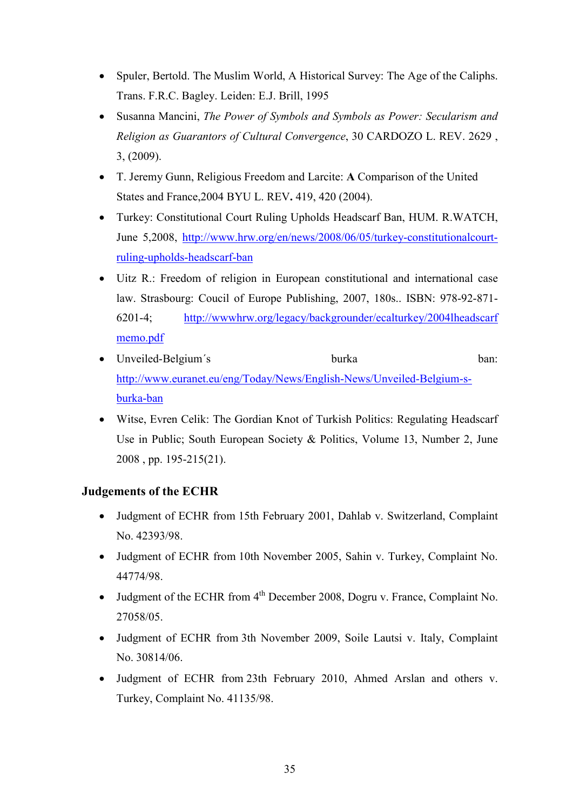- Spuler, Bertold. The Muslim World, A Historical Survey: The Age of the Caliphs. Trans. F.R.C. Bagley. Leiden: E.J. Brill, 1995
- Susanna Mancini, *The Power of Symbols and Symbols as Power: Secularism and Religion as Guarantors of Cultural Convergence*, 30 CARDOZO L. REV. 2629 , 3, (2009).
- T. Jeremy Gunn, Religious Freedom and Larcite: **A** Comparison of the United States and France,2004 BYU L. REV**.** 419, 420 (2004).
- Turkey: Constitutional Court Ruling Upholds Headscarf Ban, HUM. R.WATCH, June 5,2008, http://www.hrw.org/en/news/2008/06/05/turkey-constitutionalcourtruling-upholds-headscarf-ban
- Uitz R.: Freedom of religion in European constitutional and international case law. Strasbourg: Coucil of Europe Publishing, 2007, 180s.. ISBN: 978-92-871- 6201-4; http://wwwhrw.org/legacy/backgrounder/ecalturkey/2004lheadscarf memo.pdf
- Unveiled-Belgium's burka burka ban: http://www.euranet.eu/eng/Today/News/English-News/Unveiled-Belgium-sburka-ban
- Witse, Evren Celik: The Gordian Knot of Turkish Politics: Regulating Headscarf Use in Public; South European Society & Politics, Volume 13, Number 2, June 2008 , pp. 195-215(21).

#### **Judgements of the ECHR**

- Judgment of ECHR from 15th February 2001, Dahlab v. Switzerland, Complaint No. 42393/98.
- Judgment of ECHR from 10th November 2005, Sahin v. Turkey, Complaint No. 44774/98.
- Judgment of the ECHR from  $4<sup>th</sup>$  December 2008, Dogru v. France, Complaint No. 27058/05.
- Judgment of ECHR from 3th November 2009, Soile Lautsi v. Italy, Complaint No. 30814/06.
- Judgment of ECHR from 23th February 2010, Ahmed Arslan and others v. Turkey, Complaint No. 41135/98.